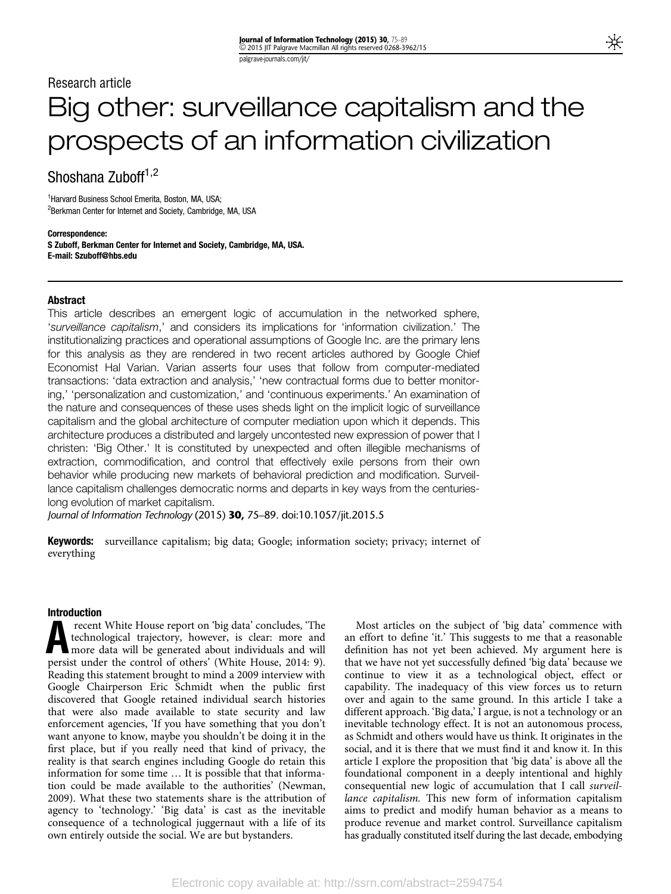# Research article

# Big other: surveillance capitalism and the prospects of an information civilization

# Shoshana Zuboff $1,2$

<sup>1</sup>Harvard Business School Emerita, Boston, MA, USA; <sup>2</sup>Berkman Center for Internet and Society, Cambridge, MA, USA

#### Correspondence:

S Zuboff, Berkman Center for Internet and Society, Cambridge, MA, USA. E-mail: [Szuboff@hbs.edu](mailto:Szuboff@hbs.edu)

## Abstract

This article describes an emergent logic of accumulation in the networked sphere, 'surveillance capitalism,' and considers its implications for 'information civilization.' The institutionalizing practices and operational assumptions of Google Inc. are the primary lens for this analysis as they are rendered in two recent articles authored by Google Chief Economist Hal Varian. Varian asserts four uses that follow from computer-mediated transactions: 'data extraction and analysis,' 'new contractual forms due to better monitoring,' 'personalization and customization,' and 'continuous experiments.' An examination of the nature and consequences of these uses sheds light on the implicit logic of surveillance capitalism and the global architecture of computer mediation upon which it depends. This architecture produces a distributed and largely uncontested new expression of power that I christen: 'Big Other.' It is constituted by unexpected and often illegible mechanisms of extraction, commodification, and control that effectively exile persons from their own behavior while producing new markets of behavioral prediction and modification. Surveillance capitalism challenges democratic norms and departs in key ways from the centurieslong evolution of market capitalism.

Journal of Information Technology (2015) 30, <sup>75</sup>–89. doi[:10.1057/jit.2015.5](http://dx.doi.org/10.1057/jit.2015.5)

**Keywords:** surveillance capitalism; big data; Google; information society; privacy; internet of everything

## Introduction

recent White House report on 'big data' concludes, 'The<br>technological trajectory, however, is clear: more and<br>more data will be generated about individuals and will<br>persist under the control of others' (White House 2014: 9 technological trajectory, however, is clear: more and persist under the control of others' ([White House, 2014:](#page-14-0) 9). Reading this statement brought to mind a 2009 interview with Google Chairperson Eric Schmidt when the public first discovered that Google retained individual search histories that were also made available to state security and law enforcement agencies, 'If you have something that you don't want anyone to know, maybe you shouldn't be doing it in the first place, but if you really need that kind of privacy, the reality is that search engines including Google do retain this information for some time … It is possible that that information could be made available to the authorities' ([Newman,](#page-13-0) [2009](#page-13-0)). What these two statements share is the attribution of agency to 'technology.' 'Big data' is cast as the inevitable consequence of a technological juggernaut with a life of its own entirely outside the social. We are but bystanders.

Most articles on the subject of 'big data' commence with an effort to define 'it.' This suggests to me that a reasonable definition has not yet been achieved. My argument here is that we have not yet successfully defined 'big data' because we continue to view it as a technological object, effect or capability. The inadequacy of this view forces us to return over and again to the same ground. In this article I take a different approach. 'Big data,' I argue, is not a technology or an inevitable technology effect. It is not an autonomous process, as Schmidt and others would have us think. It originates in the social, and it is there that we must find it and know it. In this article I explore the proposition that 'big data' is above all the foundational component in a deeply intentional and highly consequential new logic of accumulation that I call surveillance capitalism. This new form of information capitalism aims to predict and modify human behavior as a means to produce revenue and market control. Surveillance capitalism has gradually constituted itself during the last decade, embodying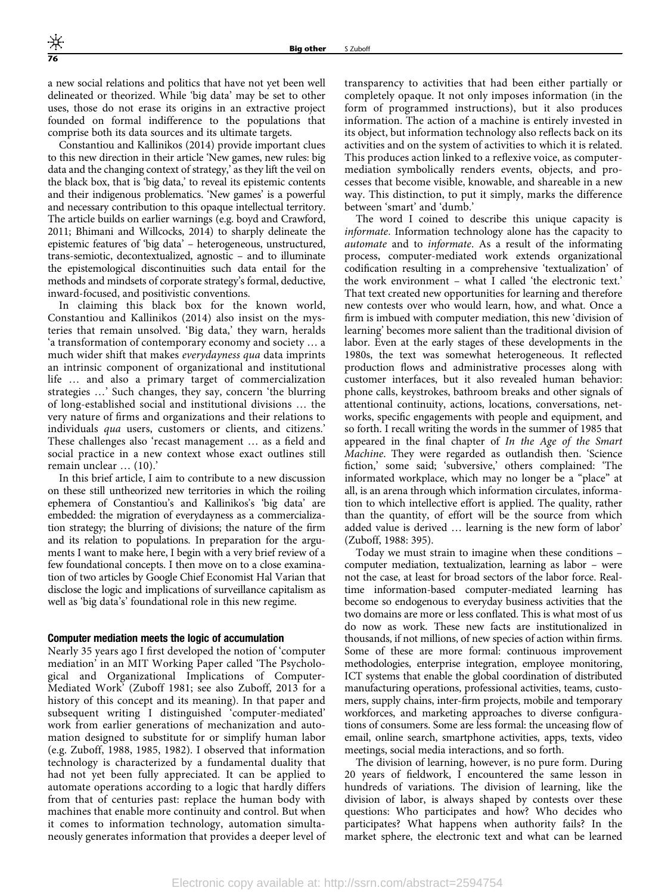a new social relations and politics that have not yet been well delineated or theorized. While 'big data' may be set to other uses, those do not erase its origins in an extractive project founded on formal indifference to the populations that comprise both its data sources and its ultimate targets.

[Constantiou and Kallinikos \(2014\)](#page-12-0) provide important clues to this new direction in their article 'New games, new rules: big data and the changing context of strategy,' as they lift the veil on the black box, that is 'big data,' to reveal its epistemic contents and their indigenous problematics. 'New games' is a powerful and necessary contribution to this opaque intellectual territory. The article builds on earlier warnings (e.g. [boyd and Crawford,](#page-12-0) [2011](#page-12-0); [Bhimani and Willcocks, 2014](#page-12-0)) to sharply delineate the epistemic features of 'big data' – heterogeneous, unstructured, trans-semiotic, decontextualized, agnostic – and to illuminate the epistemological discontinuities such data entail for the methods and mindsets of corporate strategy's formal, deductive, inward-focused, and positivistic conventions.

In claiming this black box for the known world, [Constantiou and Kallinikos \(2014\)](#page-12-0) also insist on the mysteries that remain unsolved. 'Big data,' they warn, heralds 'a transformation of contemporary economy and society … a much wider shift that makes everydayness qua data imprints an intrinsic component of organizational and institutional life … and also a primary target of commercialization strategies …' Such changes, they say, concern 'the blurring of long-established social and institutional divisions … the very nature of firms and organizations and their relations to individuals qua users, customers or clients, and citizens.' These challenges also 'recast management … as a field and social practice in a new context whose exact outlines still remain unclear … (10).'

In this brief article, I aim to contribute to a new discussion on these still untheorized new territories in which the roiling ephemera of Constantiou's and Kallinikos's 'big data' are embedded: the migration of everydayness as a commercialization strategy; the blurring of divisions; the nature of the firm and its relation to populations. In preparation for the arguments I want to make here, I begin with a very brief review of a few foundational concepts. I then move on to a close examination of two articles by Google Chief Economist Hal Varian that disclose the logic and implications of surveillance capitalism as well as 'big data's' foundational role in this new regime.

#### Computer mediation meets the logic of accumulation

Nearly 35 years ago I first developed the notion of 'computer mediation' in an MIT Working Paper called 'The Psychological and Organizational Implications of Computer-Mediated Work' (Zuboff 1981; see also [Zuboff, 2013](#page-14-0) for a history of this concept and its meaning). In that paper and subsequent writing I distinguished 'computer-mediated' work from earlier generations of mechanization and automation designed to substitute for or simplify human labor (e.g. [Zuboff, 1988, 1985, 1982](#page-14-0)). I observed that information technology is characterized by a fundamental duality that had not yet been fully appreciated. It can be applied to automate operations according to a logic that hardly differs from that of centuries past: replace the human body with machines that enable more continuity and control. But when it comes to information technology, automation simultaneously generates information that provides a deeper level of transparency to activities that had been either partially or completely opaque. It not only imposes information (in the form of programmed instructions), but it also produces information. The action of a machine is entirely invested in its object, but information technology also reflects back on its activities and on the system of activities to which it is related. This produces action linked to a reflexive voice, as computermediation symbolically renders events, objects, and processes that become visible, knowable, and shareable in a new way. This distinction, to put it simply, marks the difference between 'smart' and 'dumb.'

The word I coined to describe this unique capacity is informate. Information technology alone has the capacity to automate and to informate. As a result of the informating process, computer-mediated work extends organizational codification resulting in a comprehensive 'textualization' of the work environment – what I called 'the electronic text.' That text created new opportunities for learning and therefore new contests over who would learn, how, and what. Once a firm is imbued with computer mediation, this new 'division of learning' becomes more salient than the traditional division of labor. Even at the early stages of these developments in the 1980s, the text was somewhat heterogeneous. It reflected production flows and administrative processes along with customer interfaces, but it also revealed human behavior: phone calls, keystrokes, bathroom breaks and other signals of attentional continuity, actions, locations, conversations, networks, specific engagements with people and equipment, and so forth. I recall writing the words in the summer of 1985 that appeared in the final chapter of In the Age of the Smart Machine. They were regarded as outlandish then. 'Science fiction,' some said; 'subversive,' others complained: 'The informated workplace, which may no longer be a "place" at all, is an arena through which information circulates, information to which intellective effort is applied. The quality, rather than the quantity, of effort will be the source from which added value is derived … learning is the new form of labor' [\(Zuboff, 1988](#page-14-0): 395).

Today we must strain to imagine when these conditions – computer mediation, textualization, learning as labor – were not the case, at least for broad sectors of the labor force. Realtime information-based computer-mediated learning has become so endogenous to everyday business activities that the two domains are more or less conflated. This is what most of us do now as work. These new facts are institutionalized in thousands, if not millions, of new species of action within firms. Some of these are more formal: continuous improvement methodologies, enterprise integration, employee monitoring, ICT systems that enable the global coordination of distributed manufacturing operations, professional activities, teams, customers, supply chains, inter-firm projects, mobile and temporary workforces, and marketing approaches to diverse configurations of consumers. Some are less formal: the unceasing flow of email, online search, smartphone activities, apps, texts, video meetings, social media interactions, and so forth.

The division of learning, however, is no pure form. During 20 years of fieldwork, I encountered the same lesson in hundreds of variations. The division of learning, like the division of labor, is always shaped by contests over these questions: Who participates and how? Who decides who participates? What happens when authority fails? In the market sphere, the electronic text and what can be learned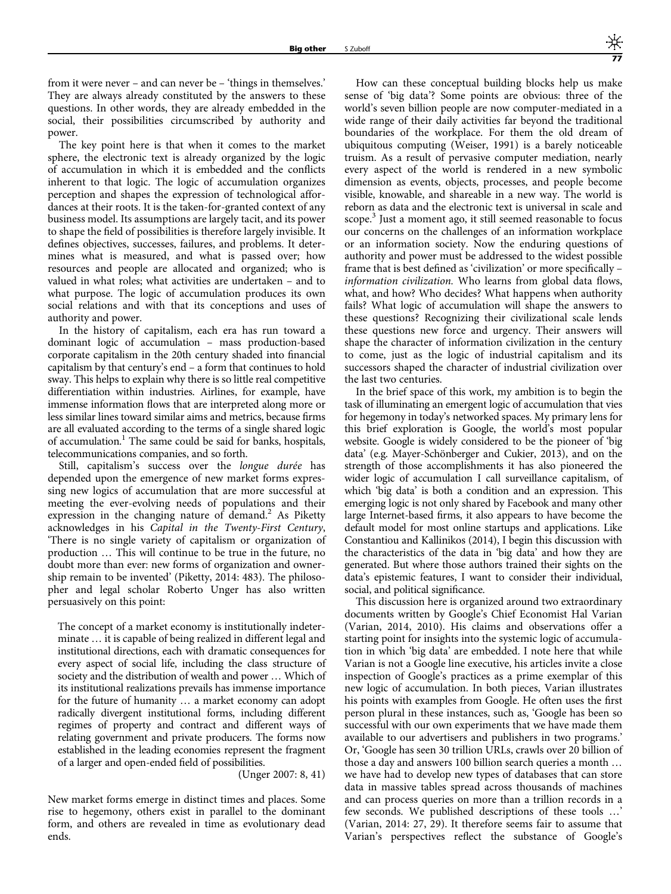from it were never – and can never be – 'things in themselves.' They are always already constituted by the answers to these questions. In other words, they are already embedded in the social, their possibilities circumscribed by authority and power.

The key point here is that when it comes to the market sphere, the electronic text is already organized by the logic of accumulation in which it is embedded and the conflicts inherent to that logic. The logic of accumulation organizes perception and shapes the expression of technological affordances at their roots. It is the taken-for-granted context of any business model. Its assumptions are largely tacit, and its power to shape the field of possibilities is therefore largely invisible. It defines objectives, successes, failures, and problems. It determines what is measured, and what is passed over; how resources and people are allocated and organized; who is valued in what roles; what activities are undertaken – and to what purpose. The logic of accumulation produces its own social relations and with that its conceptions and uses of authority and power.

In the history of capitalism, each era has run toward a dominant logic of accumulation – mass production-based corporate capitalism in the 20th century shaded into financial capitalism by that century's end – a form that continues to hold sway. This helps to explain why there is so little real competitive differentiation within industries. Airlines, for example, have immense information flows that are interpreted along more or less similar lines toward similar aims and metrics, because firms are all evaluated according to the terms of a single shared logic of accumulation.<sup>1</sup> The same could be said for banks, hospitals, telecommunications companies, and so forth.

Still, capitalism's success over the longue durée has depended upon the emergence of new market forms expressing new logics of accumulation that are more successful at meeting the ever-evolving needs of populations and their expression in the changing nature of demand.<sup>2</sup> As Piketty acknowledges in his Capital in the Twenty-First Century, 'There is no single variety of capitalism or organization of production … This will continue to be true in the future, no doubt more than ever: new forms of organization and ownership remain to be invented' [\(Piketty, 2014](#page-13-0): 483). The philosopher and legal scholar Roberto Unger has also written persuasively on this point:

The concept of a market economy is institutionally indeterminate … it is capable of being realized in different legal and institutional directions, each with dramatic consequences for every aspect of social life, including the class structure of society and the distribution of wealth and power … Which of its institutional realizations prevails has immense importance for the future of humanity … a market economy can adopt radically divergent institutional forms, including different regimes of property and contract and different ways of relating government and private producers. The forms now established in the leading economies represent the fragment of a larger and open-ended field of possibilities.

([Unger 2007:](#page-14-0) 8, 41)

New market forms emerge in distinct times and places. Some rise to hegemony, others exist in parallel to the dominant form, and others are revealed in time as evolutionary dead ends.

How can these conceptual building blocks help us make sense of 'big data'? Some points are obvious: three of the world's seven billion people are now computer-mediated in a wide range of their daily activities far beyond the traditional boundaries of the workplace. For them the old dream of ubiquitous computing (Weiser, 1991) is a barely noticeable truism. As a result of pervasive computer mediation, nearly every aspect of the world is rendered in a new symbolic dimension as events, objects, processes, and people become visible, knowable, and shareable in a new way. The world is reborn as data and the electronic text is universal in scale and scope.3 Just a moment ago, it still seemed reasonable to focus our concerns on the challenges of an information workplace or an information society. Now the enduring questions of authority and power must be addressed to the widest possible frame that is best defined as 'civilization' or more specifically – information civilization. Who learns from global data flows, what, and how? Who decides? What happens when authority fails? What logic of accumulation will shape the answers to these questions? Recognizing their civilizational scale lends these questions new force and urgency. Their answers will shape the character of information civilization in the century to come, just as the logic of industrial capitalism and its successors shaped the character of industrial civilization over the last two centuries.

In the brief space of this work, my ambition is to begin the task of illuminating an emergent logic of accumulation that vies for hegemony in today's networked spaces. My primary lens for this brief exploration is Google, the world's most popular website. Google is widely considered to be the pioneer of 'big data' (e.g. [Mayer-Schönberger and Cukier, 2013\)](#page-13-0), and on the strength of those accomplishments it has also pioneered the wider logic of accumulation I call surveillance capitalism, of which 'big data' is both a condition and an expression. This emerging logic is not only shared by Facebook and many other large Internet-based firms, it also appears to have become the default model for most online startups and applications. Like [Constantiou and Kallinikos \(2014\)](#page-12-0), I begin this discussion with the characteristics of the data in 'big data' and how they are generated. But where those authors trained their sights on the data's epistemic features, I want to consider their individual, social, and political significance.

This discussion here is organized around two extraordinary documents written by Google's Chief Economist Hal Varian [\(Varian, 2014, 2010](#page-14-0)). His claims and observations offer a starting point for insights into the systemic logic of accumulation in which 'big data' are embedded. I note here that while Varian is not a Google line executive, his articles invite a close inspection of Google's practices as a prime exemplar of this new logic of accumulation. In both pieces, Varian illustrates his points with examples from Google. He often uses the first person plural in these instances, such as, 'Google has been so successful with our own experiments that we have made them available to our advertisers and publishers in two programs.' Or, 'Google has seen 30 trillion URLs, crawls over 20 billion of those a day and answers 100 billion search queries a month … we have had to develop new types of databases that can store data in massive tables spread across thousands of machines and can process queries on more than a trillion records in a few seconds. We published descriptions of these tools …' [\(Varian, 2014](#page-14-0): 27, 29). It therefore seems fair to assume that Varian's perspectives reflect the substance of Google's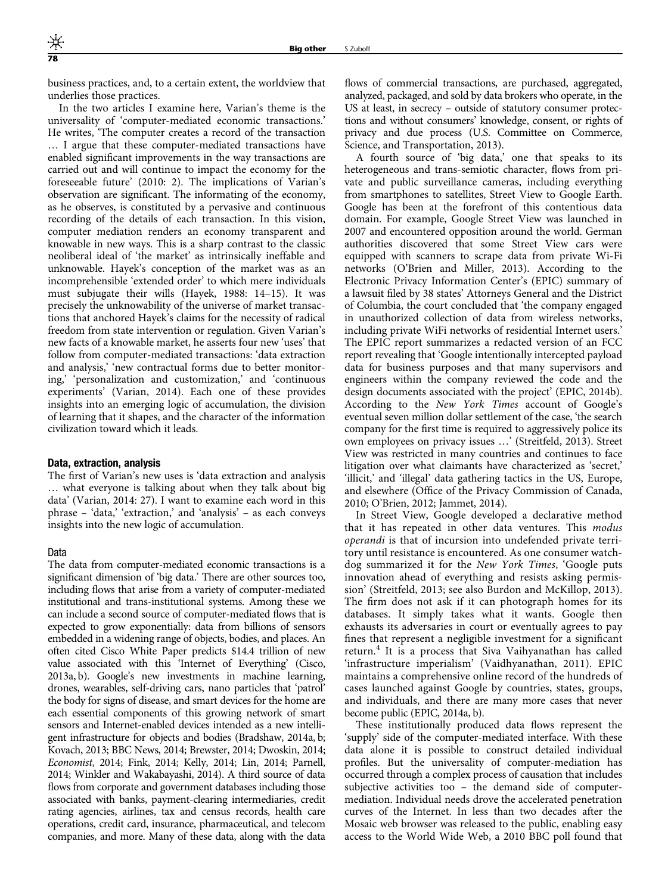business practices, and, to a certain extent, the worldview that underlies those practices.

In the two articles I examine here, Varian's theme is the universality of 'computer-mediated economic transactions.' He writes, 'The computer creates a record of the transaction … I argue that these computer-mediated transactions have enabled significant improvements in the way transactions are carried out and will continue to impact the economy for the foreseeable future' ([2010](#page-14-0): 2). The implications of Varian's observation are significant. The informating of the economy, as he observes, is constituted by a pervasive and continuous recording of the details of each transaction. In this vision, computer mediation renders an economy transparent and knowable in new ways. This is a sharp contrast to the classic neoliberal ideal of 'the market' as intrinsically ineffable and unknowable. Hayek's conception of the market was as an incomprehensible 'extended order' to which mere individuals must subjugate their wills ([Hayek, 1988](#page-12-0): 14–15). It was precisely the unknowability of the universe of market transactions that anchored Hayek's claims for the necessity of radical freedom from state intervention or regulation. Given Varian's new facts of a knowable market, he asserts four new 'uses' that follow from computer-mediated transactions: 'data extraction and analysis,' 'new contractual forms due to better monitoring,' 'personalization and customization,' and 'continuous experiments' ([Varian, 2014](#page-14-0)). Each one of these provides insights into an emerging logic of accumulation, the division of learning that it shapes, and the character of the information civilization toward which it leads.

#### Data, extraction, analysis

The first of Varian's new uses is 'data extraction and analysis … what everyone is talking about when they talk about big data' ([Varian, 2014](#page-14-0): 27). I want to examine each word in this phrase – 'data,' 'extraction,' and 'analysis' – as each conveys insights into the new logic of accumulation.

#### Data

The data from computer-mediated economic transactions is a significant dimension of 'big data.' There are other sources too, including flows that arise from a variety of computer-mediated institutional and trans-institutional systems. Among these we can include a second source of computer-mediated flows that is expected to grow exponentially: data from billions of sensors embedded in a widening range of objects, bodies, and places. An often cited Cisco White Paper predicts \$14.4 trillion of new value associated with this 'Internet of Everything' ([Cisco,](#page-12-0) [2013a, b](#page-12-0)). Google's new investments in machine learning, drones, wearables, self-driving cars, nano particles that 'patrol' the body for signs of disease, and smart devices for the home are each essential components of this growing network of smart sensors and Internet-enabled devices intended as a new intelligent infrastructure for objects and bodies (Bradshaw, [2014a, b;](#page-12-0) [Kovach, 2013;](#page-13-0) [BBC News, 2014; Brewster, 2014; Dwoskin, 2014;](#page-12-0) [Economist](#page-12-0), 2014; [Fink, 2014](#page-12-0); [Kelly, 2014; Lin, 2014; Parnell,](#page-13-0) [2014;](#page-13-0) [Winkler and Wakabayashi, 2014\)](#page-14-0). A third source of data flows from corporate and government databases including those associated with banks, payment-clearing intermediaries, credit rating agencies, airlines, tax and census records, health care operations, credit card, insurance, pharmaceutical, and telecom companies, and more. Many of these data, along with the data flows of commercial transactions, are purchased, aggregated, analyzed, packaged, and sold by data brokers who operate, in the US at least, in secrecy – outside of statutory consumer protections and without consumers' knowledge, consent, or rights of privacy and due process ([U.S. Committee on Commerce,](#page-14-0) [Science, and Transportation, 2013\)](#page-14-0).

A fourth source of 'big data,' one that speaks to its heterogeneous and trans-semiotic character, flows from private and public surveillance cameras, including everything from smartphones to satellites, Street View to Google Earth. Google has been at the forefront of this contentious data domain. For example, Google Street View was launched in 2007 and encountered opposition around the world. German authorities discovered that some Street View cars were equipped with scanners to scrape data from private Wi-Fi networks (O'Brien and Miller, 2013). According to the Electronic Privacy Information Center's (EPIC) summary of a lawsuit filed by 38 states' Attorneys General and the District of Columbia, the court concluded that 'the company engaged in unauthorized collection of data from wireless networks, including private WiFi networks of residential Internet users.' The EPIC report summarizes a redacted version of an FCC report revealing that 'Google intentionally intercepted payload data for business purposes and that many supervisors and engineers within the company reviewed the code and the design documents associated with the project' ([EPIC, 2014b\)](#page-12-0). According to the New York Times account of Google's eventual seven million dollar settlement of the case, 'the search company for the first time is required to aggressively police its own employees on privacy issues …' ([Streitfeld, 2013](#page-14-0)). Street View was restricted in many countries and continues to face litigation over what claimants have characterized as 'secret,' 'illicit,' and 'illegal' data gathering tactics in the US, Europe, and elsewhere (Office of the Privacy Commission of Canada, 2010; O'[Brien, 2012; Jammet, 2014\)](#page-13-0).

In Street View, Google developed a declarative method that it has repeated in other data ventures. This modus operandi is that of incursion into undefended private territory until resistance is encountered. As one consumer watchdog summarized it for the New York Times, 'Google puts innovation ahead of everything and resists asking permission' ([Streitfeld, 2013](#page-14-0); see also [Burdon and McKillop, 2013\)](#page-12-0). The firm does not ask if it can photograph homes for its databases. It simply takes what it wants. Google then exhausts its adversaries in court or eventually agrees to pay fines that represent a negligible investment for a significant return.<sup>4</sup> It is a process that Siva Vaihyanathan has called 'infrastructure imperialism' ([Vaidhyanathan, 2011\)](#page-14-0). EPIC maintains a comprehensive online record of the hundreds of cases launched against Google by countries, states, groups, and individuals, and there are many more cases that never become public ([EPIC, 2014a, b\)](#page-12-0).

These institutionally produced data flows represent the 'supply' side of the computer-mediated interface. With these data alone it is possible to construct detailed individual profiles. But the universality of computer-mediation has occurred through a complex process of causation that includes subjective activities too – the demand side of computermediation. Individual needs drove the accelerated penetration curves of the Internet. In less than two decades after the Mosaic web browser was released to the public, enabling easy access to the World Wide Web, a 2010 BBC poll found that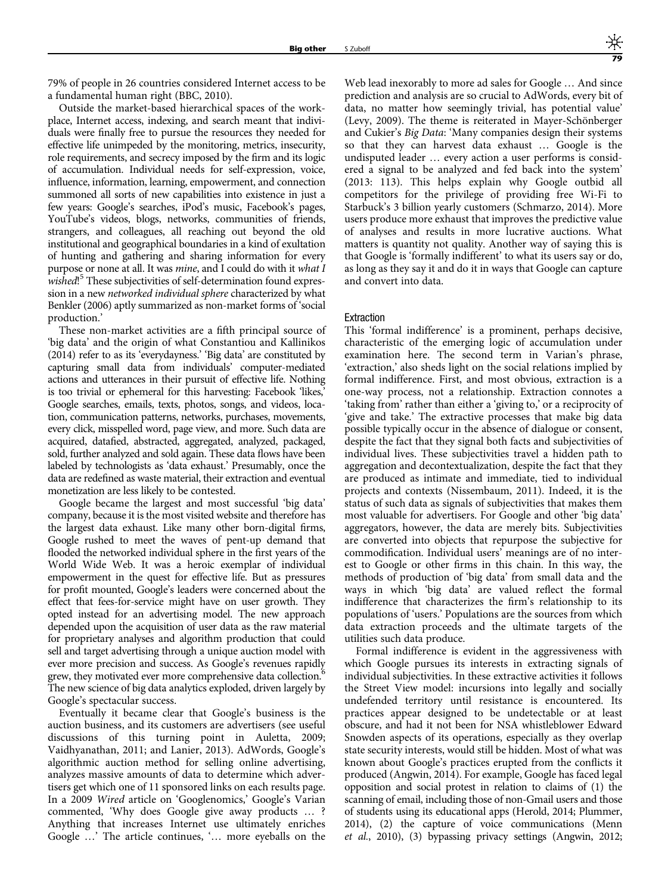79% of people in 26 countries considered Internet access to be a fundamental human right ([BBC, 2010\)](#page-12-0).

Outside the market-based hierarchical spaces of the workplace, Internet access, indexing, and search meant that individuals were finally free to pursue the resources they needed for effective life unimpeded by the monitoring, metrics, insecurity, role requirements, and secrecy imposed by the firm and its logic of accumulation. Individual needs for self-expression, voice, influence, information, learning, empowerment, and connection summoned all sorts of new capabilities into existence in just a few years: Google's searches, iPod's music, Facebook's pages, YouTube's videos, blogs, networks, communities of friends, strangers, and colleagues, all reaching out beyond the old institutional and geographical boundaries in a kind of exultation of hunting and gathering and sharing information for every purpose or none at all. It was mine, and I could do with it what I wished! <sup>5</sup> These subjectivities of self-determination found expression in a new networked individual sphere characterized by what [Benkler \(2006\)](#page-12-0) aptly summarized as non-market forms of 'social production.'

These non-market activities are a fifth principal source of 'big data' and the origin of what [Constantiou and Kallinikos](#page-12-0) [\(2014\)](#page-12-0) refer to as its 'everydayness.' 'Big data' are constituted by capturing small data from individuals' computer-mediated actions and utterances in their pursuit of effective life. Nothing is too trivial or ephemeral for this harvesting: Facebook 'likes,' Google searches, emails, texts, photos, songs, and videos, location, communication patterns, networks, purchases, movements, every click, misspelled word, page view, and more. Such data are acquired, datafied, abstracted, aggregated, analyzed, packaged, sold, further analyzed and sold again. These data flows have been labeled by technologists as 'data exhaust.' Presumably, once the data are redefined as waste material, their extraction and eventual monetization are less likely to be contested.

Google became the largest and most successful 'big data' company, because it is the most visited website and therefore has the largest data exhaust. Like many other born-digital firms, Google rushed to meet the waves of pent-up demand that flooded the networked individual sphere in the first years of the World Wide Web. It was a heroic exemplar of individual empowerment in the quest for effective life. But as pressures for profit mounted, Google's leaders were concerned about the effect that fees-for-service might have on user growth. They opted instead for an advertising model. The new approach depended upon the acquisition of user data as the raw material for proprietary analyses and algorithm production that could sell and target advertising through a unique auction model with ever more precision and success. As Google's revenues rapidly grew, they motivated ever more comprehensive data collection.<sup>6</sup> The new science of big data analytics exploded, driven largely by Google's spectacular success.

Eventually it became clear that Google's business is the auction business, and its customers are advertisers (see useful discussions of this turning point in [Auletta, 2009;](#page-12-0) [Vaidhyanathan, 2011](#page-14-0); and [Lanier, 2013\)](#page-13-0). AdWords, Google's algorithmic auction method for selling online advertising, analyzes massive amounts of data to determine which advertisers get which one of 11 sponsored links on each results page. In a 2009 Wired article on 'Googlenomics,' Google's Varian commented, 'Why does Google give away products … ? Anything that increases Internet use ultimately enriches Google …' The article continues, '… more eyeballs on the

Web lead inexorably to more ad sales for Google … And since prediction and analysis are so crucial to AdWords, every bit of data, no matter how seemingly trivial, has potential value' [\(Levy, 2009](#page-13-0)). The theme is reiterated in Mayer-Schönberger and Cukier's Big Data: 'Many companies design their systems so that they can harvest data exhaust … Google is the undisputed leader … every action a user performs is considered a signal to be analyzed and fed back into the system' [\(2013:](#page-13-0) 113). This helps explain why Google outbid all competitors for the privilege of providing free Wi-Fi to Starbuck's 3 billion yearly customers ([Schmarzo, 2014\)](#page-13-0). More users produce more exhaust that improves the predictive value of analyses and results in more lucrative auctions. What matters is quantity not quality. Another way of saying this is that Google is 'formally indifferent' to what its users say or do, as long as they say it and do it in ways that Google can capture and convert into data.

#### Extraction

This 'formal indifference' is a prominent, perhaps decisive, characteristic of the emerging logic of accumulation under examination here. The second term in Varian's phrase, 'extraction,' also sheds light on the social relations implied by formal indifference. First, and most obvious, extraction is a one-way process, not a relationship. Extraction connotes a 'taking from' rather than either a 'giving to,' or a reciprocity of 'give and take.' The extractive processes that make big data possible typically occur in the absence of dialogue or consent, despite the fact that they signal both facts and subjectivities of individual lives. These subjectivities travel a hidden path to aggregation and decontextualization, despite the fact that they are produced as intimate and immediate, tied to individual projects and contexts [\(Nissembaum, 2011\)](#page-13-0). Indeed, it is the status of such data as signals of subjectivities that makes them most valuable for advertisers. For Google and other 'big data' aggregators, however, the data are merely bits. Subjectivities are converted into objects that repurpose the subjective for commodification. Individual users' meanings are of no interest to Google or other firms in this chain. In this way, the methods of production of 'big data' from small data and the ways in which 'big data' are valued reflect the formal indifference that characterizes the firm's relationship to its populations of 'users.' Populations are the sources from which data extraction proceeds and the ultimate targets of the utilities such data produce.

Formal indifference is evident in the aggressiveness with which Google pursues its interests in extracting signals of individual subjectivities. In these extractive activities it follows the Street View model: incursions into legally and socially undefended territory until resistance is encountered. Its practices appear designed to be undetectable or at least obscure, and had it not been for NSA whistleblower Edward Snowden aspects of its operations, especially as they overlap state security interests, would still be hidden. Most of what was known about Google's practices erupted from the conflicts it produced [\(Angwin, 2014](#page-12-0)). For example, Google has faced legal opposition and social protest in relation to claims of (1) the scanning of email, including those of non-Gmail users and those of students using its educational apps [\(Herold, 2014;](#page-12-0) [Plummer,](#page-13-0) [2014\)](#page-13-0), (2) the capture of voice communications (Menn et al., 2010), (3) bypassing privacy settings ([Angwin, 2012](#page-12-0);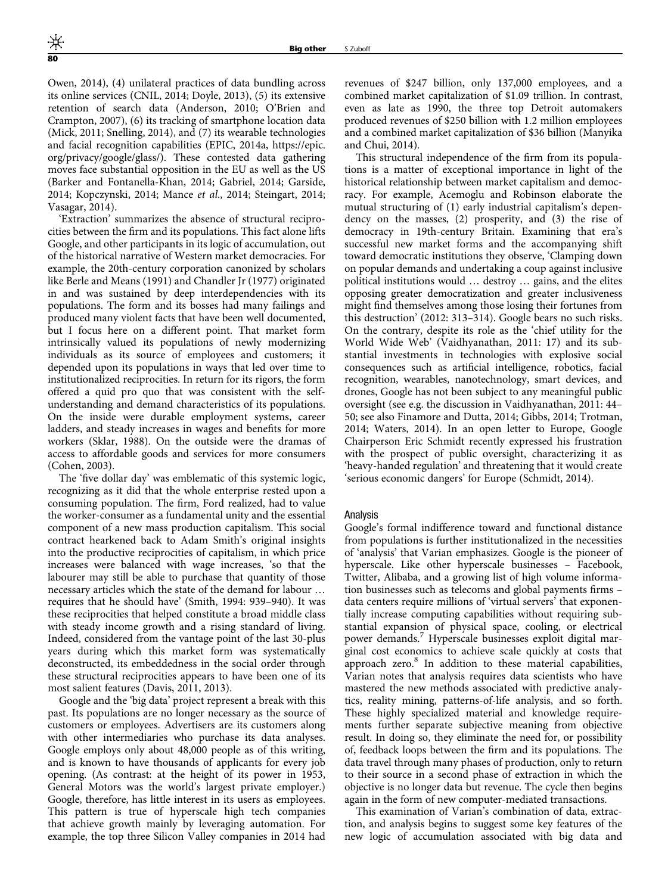[Owen, 2014\)](#page-13-0), (4) unilateral practices of data bundling across its online services ([CNIL, 2014](#page-12-0); Doyle, 2013), (5) its extensive retention of search data ([Anderson, 2010](#page-11-0); O'Brien and Crampton, 2007), (6) its tracking of smartphone location data ([Mick, 2011](#page-13-0); [Snelling, 2014](#page-14-0)), and (7) its wearable technologies and facial recognition capabilities ([EPIC, 2014a](#page-12-0), [https://epic.](https://epic.org/privacy/google/glass/)) [org/privacy/google/glass/\)](https://epic.org/privacy/google/glass/)). These contested data gathering moves face substantial opposition in the EU as well as the US (Barker and Fontanella-Khan, 2014; [Gabriel, 2014; Garside,](#page-12-0) [2014](#page-12-0); [Kopczynski, 2014;](#page-13-0) Mance et al., 2014; [Steingart, 2014;](#page-14-0) [Vasagar, 2014](#page-14-0)).

'Extraction' summarizes the absence of structural reciprocities between the firm and its populations. This fact alone lifts Google, and other participants in its logic of accumulation, out of the historical narrative of Western market democracies. For example, the 20th-century corporation canonized by scholars like [Berle and Means \(1991\)](#page-12-0) and [Chandler Jr \(1977\)](#page-12-0) originated in and was sustained by deep interdependencies with its populations. The form and its bosses had many failings and produced many violent facts that have been well documented, but I focus here on a different point. That market form intrinsically valued its populations of newly modernizing individuals as its source of employees and customers; it depended upon its populations in ways that led over time to institutionalized reciprocities. In return for its rigors, the form offered a quid pro quo that was consistent with the selfunderstanding and demand characteristics of its populations. On the inside were durable employment systems, career ladders, and steady increases in wages and benefits for more workers [\(Sklar, 1988](#page-14-0)). On the outside were the dramas of access to affordable goods and services for more consumers ([Cohen, 2003](#page-12-0)).

The 'five dollar day' was emblematic of this systemic logic, recognizing as it did that the whole enterprise rested upon a consuming population. The firm, Ford realized, had to value the worker-consumer as a fundamental unity and the essential component of a new mass production capitalism. This social contract hearkened back to Adam Smith's original insights into the productive reciprocities of capitalism, in which price increases were balanced with wage increases, 'so that the labourer may still be able to purchase that quantity of those necessary articles which the state of the demand for labour … requires that he should have' ([Smith, 1994:](#page-14-0) 939–940). It was these reciprocities that helped constitute a broad middle class with steady income growth and a rising standard of living. Indeed, considered from the vantage point of the last 30-plus years during which this market form was systematically deconstructed, its embeddedness in the social order through these structural reciprocities appears to have been one of its most salient features [\(Davis, 2011, 2013](#page-12-0)).

Google and the 'big data' project represent a break with this past. Its populations are no longer necessary as the source of customers or employees. Advertisers are its customers along with other intermediaries who purchase its data analyses. Google employs only about 48,000 people as of this writing, and is known to have thousands of applicants for every job opening. (As contrast: at the height of its power in 1953, General Motors was the world's largest private employer.) Google, therefore, has little interest in its users as employees. This pattern is true of hyperscale high tech companies that achieve growth mainly by leveraging automation. For example, the top three Silicon Valley companies in 2014 had

revenues of \$247 billion, only 137,000 employees, and a combined market capitalization of \$1.09 trillion. In contrast, even as late as 1990, the three top Detroit automakers produced revenues of \$250 billion with 1.2 million employees and a combined market capitalization of \$36 billion ([Manyika](#page-13-0) [and Chui, 2014](#page-13-0)).

This structural independence of the firm from its populations is a matter of exceptional importance in light of the historical relationship between market capitalism and democracy. For example, Acemoglu and Robinson elaborate the mutual structuring of (1) early industrial capitalism's dependency on the masses, (2) prosperity, and (3) the rise of democracy in 19th-century Britain. Examining that era's successful new market forms and the accompanying shift toward democratic institutions they observe, 'Clamping down on popular demands and undertaking a coup against inclusive political institutions would … destroy … gains, and the elites opposing greater democratization and greater inclusiveness might find themselves among those losing their fortunes from this destruction' ([2012:](#page-11-0) 313–314). Google bears no such risks. On the contrary, despite its role as the 'chief utility for the World Wide Web' [\(Vaidhyanathan, 2011](#page-14-0): 17) and its substantial investments in technologies with explosive social consequences such as artificial intelligence, robotics, facial recognition, wearables, nanotechnology, smart devices, and drones, Google has not been subject to any meaningful public oversight (see e.g. the discussion in [Vaidhyanathan, 2011](#page-14-0): 44– 50; see also [Finamore and Dutta, 2014](#page-12-0); [Gibbs, 2014](#page-12-0); [Trotman,](#page-14-0) [2014](#page-14-0); [Waters, 2014\)](#page-14-0). In an open letter to Europe, Google Chairperson Eric Schmidt recently expressed his frustration with the prospect of public oversight, characterizing it as 'heavy-handed regulation' and threatening that it would create 'serious economic dangers' for Europe [\(Schmidt, 2014](#page-13-0)).

#### Analysis

Google's formal indifference toward and functional distance from populations is further institutionalized in the necessities of 'analysis' that Varian emphasizes. Google is the pioneer of hyperscale. Like other hyperscale businesses – Facebook, Twitter, Alibaba, and a growing list of high volume information businesses such as telecoms and global payments firms – data centers require millions of 'virtual servers' that exponentially increase computing capabilities without requiring substantial expansion of physical space, cooling, or electrical power demands.<sup>7</sup> Hyperscale businesses exploit digital marginal cost economics to achieve scale quickly at costs that approach zero.<sup>8</sup> In addition to these material capabilities, Varian notes that analysis requires data scientists who have mastered the new methods associated with predictive analytics, reality mining, patterns-of-life analysis, and so forth. These highly specialized material and knowledge requirements further separate subjective meaning from objective result. In doing so, they eliminate the need for, or possibility of, feedback loops between the firm and its populations. The data travel through many phases of production, only to return to their source in a second phase of extraction in which the objective is no longer data but revenue. The cycle then begins again in the form of new computer-mediated transactions.

This examination of Varian's combination of data, extraction, and analysis begins to suggest some key features of the new logic of accumulation associated with big data and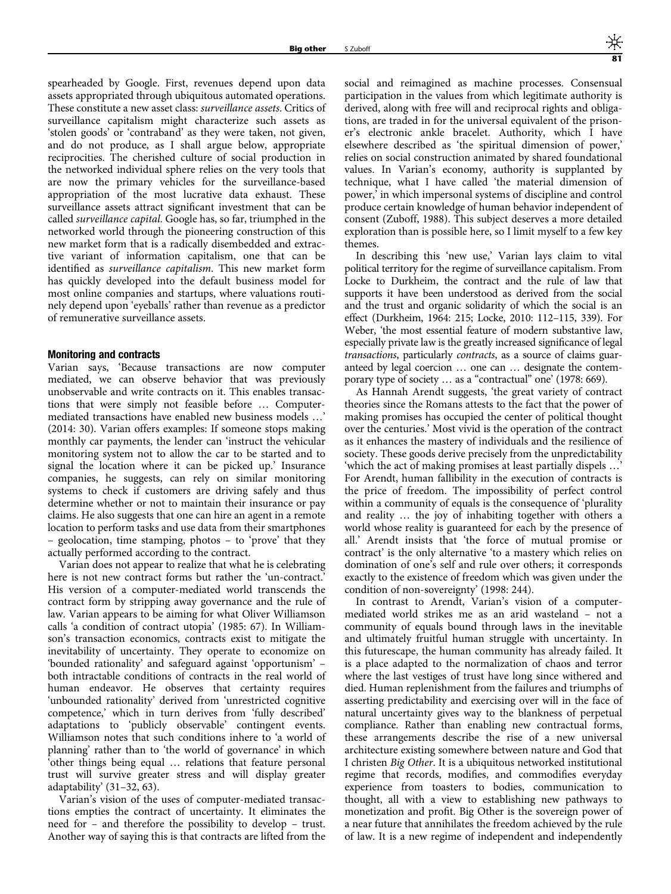spearheaded by Google. First, revenues depend upon data assets appropriated through ubiquitous automated operations. These constitute a new asset class: surveillance assets. Critics of surveillance capitalism might characterize such assets as 'stolen goods' or 'contraband' as they were taken, not given, and do not produce, as I shall argue below, appropriate reciprocities. The cherished culture of social production in the networked individual sphere relies on the very tools that are now the primary vehicles for the surveillance-based appropriation of the most lucrative data exhaust. These surveillance assets attract significant investment that can be called surveillance capital. Google has, so far, triumphed in the networked world through the pioneering construction of this new market form that is a radically disembedded and extractive variant of information capitalism, one that can be identified as surveillance capitalism. This new market form has quickly developed into the default business model for most online companies and startups, where valuations routinely depend upon 'eyeballs' rather than revenue as a predictor of remunerative surveillance assets.

#### Monitoring and contracts

Varian says, 'Because transactions are now computer mediated, we can observe behavior that was previously unobservable and write contracts on it. This enables transactions that were simply not feasible before … Computermediated transactions have enabled new business models …' ([2014:](#page-14-0) 30). Varian offers examples: If someone stops making monthly car payments, the lender can 'instruct the vehicular monitoring system not to allow the car to be started and to signal the location where it can be picked up.' Insurance companies, he suggests, can rely on similar monitoring systems to check if customers are driving safely and thus determine whether or not to maintain their insurance or pay claims. He also suggests that one can hire an agent in a remote location to perform tasks and use data from their smartphones – geolocation, time stamping, photos – to 'prove' that they actually performed according to the contract.

Varian does not appear to realize that what he is celebrating here is not new contract forms but rather the 'un-contract.' His version of a computer-mediated world transcends the contract form by stripping away governance and the rule of law. Varian appears to be aiming for what Oliver Williamson calls 'a condition of contract utopia' (1985: 67). In Williamson's transaction economics, contracts exist to mitigate the inevitability of uncertainty. They operate to economize on 'bounded rationality' and safeguard against 'opportunism' – both intractable conditions of contracts in the real world of human endeavor. He observes that certainty requires 'unbounded rationality' derived from 'unrestricted cognitive competence,' which in turn derives from 'fully described' adaptations to 'publicly observable' contingent events. Williamson notes that such conditions inhere to 'a world of planning' rather than to 'the world of governance' in which 'other things being equal … relations that feature personal trust will survive greater stress and will display greater adaptability' (31–32, 63).

Varian's vision of the uses of computer-mediated transactions empties the contract of uncertainty. It eliminates the need for – and therefore the possibility to develop – trust. Another way of saying this is that contracts are lifted from the social and reimagined as machine processes. Consensual participation in the values from which legitimate authority is derived, along with free will and reciprocal rights and obligations, are traded in for the universal equivalent of the prisoner's electronic ankle bracelet. Authority, which I have elsewhere described as 'the spiritual dimension of power,' relies on social construction animated by shared foundational values. In Varian's economy, authority is supplanted by technique, what I have called 'the material dimension of power,' in which impersonal systems of discipline and control produce certain knowledge of human behavior independent of consent [\(Zuboff, 1988](#page-14-0)). This subject deserves a more detailed exploration than is possible here, so I limit myself to a few key themes.

In describing this 'new use,' Varian lays claim to vital political territory for the regime of surveillance capitalism. From Locke to Durkheim, the contract and the rule of law that supports it have been understood as derived from the social and the trust and organic solidarity of which the social is an effect ([Durkheim, 1964](#page-12-0): 215; [Locke, 2010](#page-13-0): 112–115, 339). For Weber, 'the most essential feature of modern substantive law, especially private law is the greatly increased significance of legal transactions, particularly contracts, as a source of claims guaranteed by legal coercion … one can … designate the contemporary type of society … as a "contractual" one' ([1978](#page-14-0): 669).

As Hannah Arendt suggests, 'the great variety of contract theories since the Romans attests to the fact that the power of making promises has occupied the center of political thought over the centuries.' Most vivid is the operation of the contract as it enhances the mastery of individuals and the resilience of society. These goods derive precisely from the unpredictability 'which the act of making promises at least partially dispels …' For Arendt, human fallibility in the execution of contracts is the price of freedom. The impossibility of perfect control within a community of equals is the consequence of 'plurality and reality … the joy of inhabiting together with others a world whose reality is guaranteed for each by the presence of all.' Arendt insists that 'the force of mutual promise or contract' is the only alternative 'to a mastery which relies on domination of one's self and rule over others; it corresponds exactly to the existence of freedom which was given under the condition of non-sovereignty' [\(1998](#page-12-0): 244).

In contrast to Arendt, Varian's vision of a computermediated world strikes me as an arid wasteland – not a community of equals bound through laws in the inevitable and ultimately fruitful human struggle with uncertainty. In this futurescape, the human community has already failed. It is a place adapted to the normalization of chaos and terror where the last vestiges of trust have long since withered and died. Human replenishment from the failures and triumphs of asserting predictability and exercising over will in the face of natural uncertainty gives way to the blankness of perpetual compliance. Rather than enabling new contractual forms, these arrangements describe the rise of a new universal architecture existing somewhere between nature and God that I christen Big Other. It is a ubiquitous networked institutional regime that records, modifies, and commodifies everyday experience from toasters to bodies, communication to thought, all with a view to establishing new pathways to monetization and profit. Big Other is the sovereign power of a near future that annihilates the freedom achieved by the rule of law. It is a new regime of independent and independently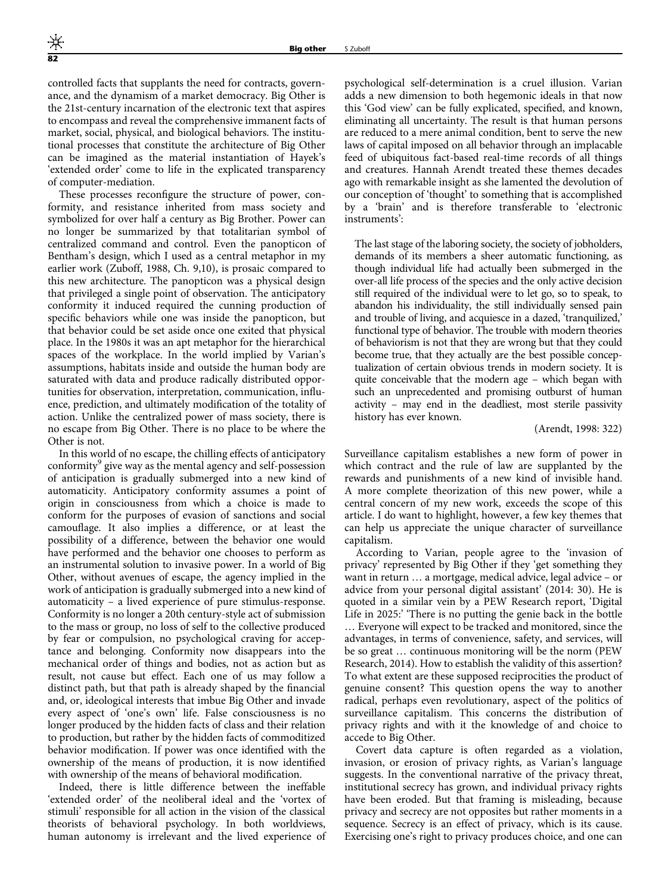controlled facts that supplants the need for contracts, governance, and the dynamism of a market democracy. Big Other is the 21st-century incarnation of the electronic text that aspires to encompass and reveal the comprehensive immanent facts of market, social, physical, and biological behaviors. The institutional processes that constitute the architecture of Big Other can be imagined as the material instantiation of Hayek's 'extended order' come to life in the explicated transparency of computer-mediation.

These processes reconfigure the structure of power, conformity, and resistance inherited from mass society and symbolized for over half a century as Big Brother. Power can no longer be summarized by that totalitarian symbol of centralized command and control. Even the panopticon of Bentham's design, which I used as a central metaphor in my earlier work [\(Zuboff, 1988,](#page-14-0) Ch. 9,10), is prosaic compared to this new architecture. The panopticon was a physical design that privileged a single point of observation. The anticipatory conformity it induced required the cunning production of specific behaviors while one was inside the panopticon, but that behavior could be set aside once one exited that physical place. In the 1980s it was an apt metaphor for the hierarchical spaces of the workplace. In the world implied by Varian's assumptions, habitats inside and outside the human body are saturated with data and produce radically distributed opportunities for observation, interpretation, communication, influence, prediction, and ultimately modification of the totality of action. Unlike the centralized power of mass society, there is no escape from Big Other. There is no place to be where the Other is not.

In this world of no escape, the chilling effects of anticipatory conformity<sup>9</sup> give way as the mental agency and self-possession of anticipation is gradually submerged into a new kind of automaticity. Anticipatory conformity assumes a point of origin in consciousness from which a choice is made to conform for the purposes of evasion of sanctions and social camouflage. It also implies a difference, or at least the possibility of a difference, between the behavior one would have performed and the behavior one chooses to perform as an instrumental solution to invasive power. In a world of Big Other, without avenues of escape, the agency implied in the work of anticipation is gradually submerged into a new kind of automaticity – a lived experience of pure stimulus-response. Conformity is no longer a 20th century-style act of submission to the mass or group, no loss of self to the collective produced by fear or compulsion, no psychological craving for acceptance and belonging. Conformity now disappears into the mechanical order of things and bodies, not as action but as result, not cause but effect. Each one of us may follow a distinct path, but that path is already shaped by the financial and, or, ideological interests that imbue Big Other and invade every aspect of 'one's own' life. False consciousness is no longer produced by the hidden facts of class and their relation to production, but rather by the hidden facts of commoditized behavior modification. If power was once identified with the ownership of the means of production, it is now identified with ownership of the means of behavioral modification.

Indeed, there is little difference between the ineffable 'extended order' of the neoliberal ideal and the 'vortex of stimuli' responsible for all action in the vision of the classical theorists of behavioral psychology. In both worldviews, human autonomy is irrelevant and the lived experience of

psychological self-determination is a cruel illusion. Varian adds a new dimension to both hegemonic ideals in that now this 'God view' can be fully explicated, specified, and known, eliminating all uncertainty. The result is that human persons are reduced to a mere animal condition, bent to serve the new laws of capital imposed on all behavior through an implacable feed of ubiquitous fact-based real-time records of all things and creatures. Hannah Arendt treated these themes decades ago with remarkable insight as she lamented the devolution of our conception of 'thought' to something that is accomplished by a 'brain' and is therefore transferable to 'electronic instruments':

The last stage of the laboring society, the society of jobholders, demands of its members a sheer automatic functioning, as though individual life had actually been submerged in the over-all life process of the species and the only active decision still required of the individual were to let go, so to speak, to abandon his individuality, the still individually sensed pain and trouble of living, and acquiesce in a dazed, 'tranquilized,' functional type of behavior. The trouble with modern theories of behaviorism is not that they are wrong but that they could become true, that they actually are the best possible conceptualization of certain obvious trends in modern society. It is quite conceivable that the modern age – which began with such an unprecedented and promising outburst of human activity – may end in the deadliest, most sterile passivity history has ever known.

(Arendt, 1998: 322)

Surveillance capitalism establishes a new form of power in which contract and the rule of law are supplanted by the rewards and punishments of a new kind of invisible hand. A more complete theorization of this new power, while a central concern of my new work, exceeds the scope of this article. I do want to highlight, however, a few key themes that can help us appreciate the unique character of surveillance capitalism.

According to Varian, people agree to the 'invasion of privacy' represented by Big Other if they 'get something they want in return … a mortgage, medical advice, legal advice – or advice from your personal digital assistant' ([2014:](#page-14-0) 30). He is quoted in a similar vein by a PEW Research report, 'Digital Life in 2025:' 'There is no putting the genie back in the bottle … Everyone will expect to be tracked and monitored, since the advantages, in terms of convenience, safety, and services, will be so great … continuous monitoring will be the norm ([PEW](#page-13-0) [Research, 2014\)](#page-13-0). How to establish the validity of this assertion? To what extent are these supposed reciprocities the product of genuine consent? This question opens the way to another radical, perhaps even revolutionary, aspect of the politics of surveillance capitalism. This concerns the distribution of privacy rights and with it the knowledge of and choice to accede to Big Other.

Covert data capture is often regarded as a violation, invasion, or erosion of privacy rights, as Varian's language suggests. In the conventional narrative of the privacy threat, institutional secrecy has grown, and individual privacy rights have been eroded. But that framing is misleading, because privacy and secrecy are not opposites but rather moments in a sequence. Secrecy is an effect of privacy, which is its cause. Exercising one's right to privacy produces choice, and one can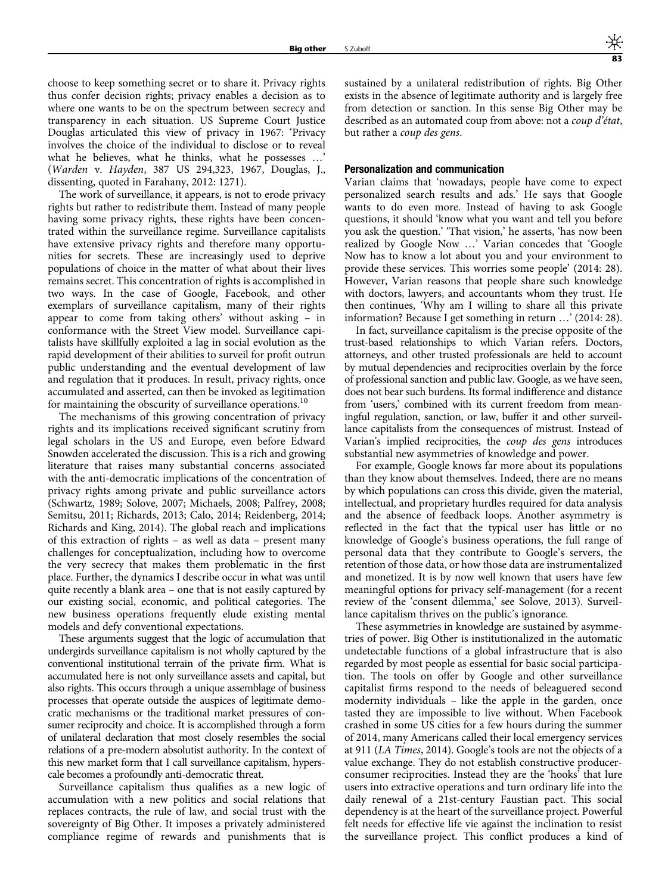choose to keep something secret or to share it. Privacy rights thus confer decision rights; privacy enables a decision as to where one wants to be on the spectrum between secrecy and transparency in each situation. US Supreme Court Justice Douglas articulated this view of privacy in 1967: 'Privacy involves the choice of the individual to disclose or to reveal what he believes, what he thinks, what he possesses …' (Warden v. Hayden, 387 US 294,323, 1967, Douglas, J., dissenting, quoted in [Farahany, 2012](#page-12-0): 1271).

The work of surveillance, it appears, is not to erode privacy rights but rather to redistribute them. Instead of many people having some privacy rights, these rights have been concentrated within the surveillance regime. Surveillance capitalists have extensive privacy rights and therefore many opportunities for secrets. These are increasingly used to deprive populations of choice in the matter of what about their lives remains secret. This concentration of rights is accomplished in two ways. In the case of Google, Facebook, and other exemplars of surveillance capitalism, many of their rights appear to come from taking others' without asking – in conformance with the Street View model. Surveillance capitalists have skillfully exploited a lag in social evolution as the rapid development of their abilities to surveil for profit outrun public understanding and the eventual development of law and regulation that it produces. In result, privacy rights, once accumulated and asserted, can then be invoked as legitimation for maintaining the obscurity of surveillance operations.<sup>10</sup>

The mechanisms of this growing concentration of privacy rights and its implications received significant scrutiny from legal scholars in the US and Europe, even before Edward Snowden accelerated the discussion. This is a rich and growing literature that raises many substantial concerns associated with the anti-democratic implications of the concentration of privacy rights among private and public surveillance actors ([Schwartz, 1989;](#page-13-0) [Solove, 2007;](#page-14-0) [Michaels, 2008; Palfrey, 2008;](#page-13-0) [Semitsu, 2011](#page-13-0); [Richards, 2013](#page-13-0); [Calo, 2014;](#page-12-0) Reidenberg, 2014; Richards and King, 2014). The global reach and implications of this extraction of rights – as well as data – present many challenges for conceptualization, including how to overcome the very secrecy that makes them problematic in the first place. Further, the dynamics I describe occur in what was until quite recently a blank area – one that is not easily captured by our existing social, economic, and political categories. The new business operations frequently elude existing mental models and defy conventional expectations.

These arguments suggest that the logic of accumulation that undergirds surveillance capitalism is not wholly captured by the conventional institutional terrain of the private firm. What is accumulated here is not only surveillance assets and capital, but also rights. This occurs through a unique assemblage of business processes that operate outside the auspices of legitimate democratic mechanisms or the traditional market pressures of consumer reciprocity and choice. It is accomplished through a form of unilateral declaration that most closely resembles the social relations of a pre-modern absolutist authority. In the context of this new market form that I call surveillance capitalism, hyperscale becomes a profoundly anti-democratic threat.

Surveillance capitalism thus qualifies as a new logic of accumulation with a new politics and social relations that replaces contracts, the rule of law, and social trust with the sovereignty of Big Other. It imposes a privately administered compliance regime of rewards and punishments that is

sustained by a unilateral redistribution of rights. Big Other exists in the absence of legitimate authority and is largely free from detection or sanction. In this sense Big Other may be described as an automated coup from above: not a coup d'état, but rather a coup des gens.

#### Personalization and communication

Varian claims that 'nowadays, people have come to expect personalized search results and ads.' He says that Google wants to do even more. Instead of having to ask Google questions, it should 'know what you want and tell you before you ask the question.' 'That vision,' he asserts, 'has now been realized by Google Now …' Varian concedes that 'Google Now has to know a lot about you and your environment to provide these services. This worries some people' ([2014:](#page-14-0) 28). However, Varian reasons that people share such knowledge with doctors, lawyers, and accountants whom they trust. He then continues, 'Why am I willing to share all this private information? Because I get something in return …' ([2014:](#page-14-0) 28).

In fact, surveillance capitalism is the precise opposite of the trust-based relationships to which Varian refers. Doctors, attorneys, and other trusted professionals are held to account by mutual dependencies and reciprocities overlain by the force of professional sanction and public law. Google, as we have seen, does not bear such burdens. Its formal indifference and distance from 'users,' combined with its current freedom from meaningful regulation, sanction, or law, buffer it and other surveillance capitalists from the consequences of mistrust. Instead of Varian's implied reciprocities, the coup des gens introduces substantial new asymmetries of knowledge and power.

For example, Google knows far more about its populations than they know about themselves. Indeed, there are no means by which populations can cross this divide, given the material, intellectual, and proprietary hurdles required for data analysis and the absence of feedback loops. Another asymmetry is reflected in the fact that the typical user has little or no knowledge of Google's business operations, the full range of personal data that they contribute to Google's servers, the retention of those data, or how those data are instrumentalized and monetized. It is by now well known that users have few meaningful options for privacy self-management (for a recent review of the 'consent dilemma,' see [Solove, 2013](#page-14-0)). Surveillance capitalism thrives on the public's ignorance.

These asymmetries in knowledge are sustained by asymmetries of power. Big Other is institutionalized in the automatic undetectable functions of a global infrastructure that is also regarded by most people as essential for basic social participation. The tools on offer by Google and other surveillance capitalist firms respond to the needs of beleaguered second modernity individuals – like the apple in the garden, once tasted they are impossible to live without. When Facebook crashed in some US cities for a few hours during the summer of 2014, many Americans called their local emergency services at 911 ([LA Times](#page-13-0), 2014). Google's tools are not the objects of a value exchange. They do not establish constructive producerconsumer reciprocities. Instead they are the 'hooks' that lure users into extractive operations and turn ordinary life into the daily renewal of a 21st-century Faustian pact. This social dependency is at the heart of the surveillance project. Powerful felt needs for effective life vie against the inclination to resist the surveillance project. This conflict produces a kind of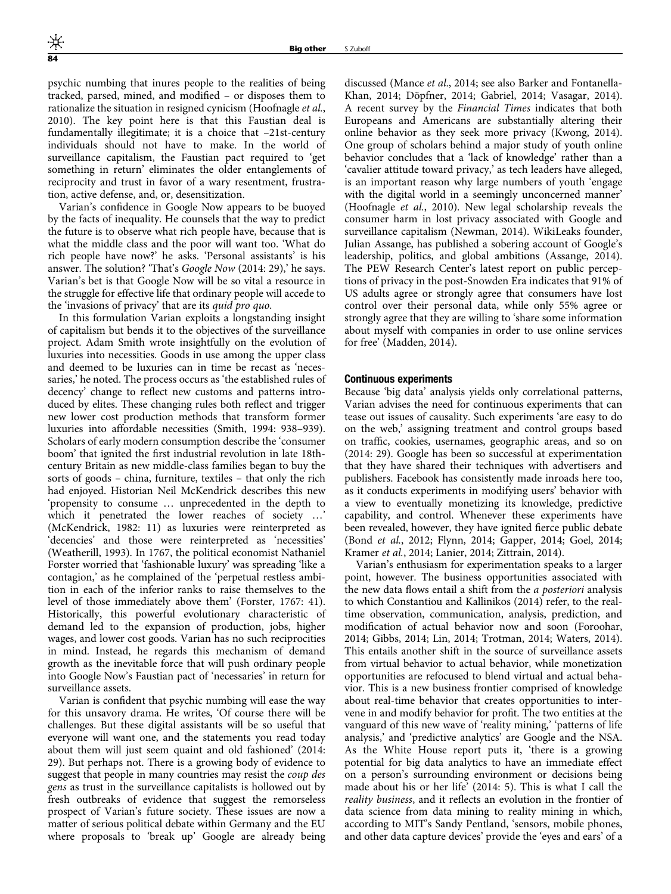psychic numbing that inures people to the realities of being tracked, parsed, mined, and modified – or disposes them to rationalize the situation in resigned cynicism [\(Hoofnagle](#page-13-0) et al., [2010](#page-13-0)). The key point here is that this Faustian deal is fundamentally illegitimate; it is a choice that –21st-century individuals should not have to make. In the world of surveillance capitalism, the Faustian pact required to 'get something in return' eliminates the older entanglements of reciprocity and trust in favor of a wary resentment, frustration, active defense, and, or, desensitization.

Varian's confidence in Google Now appears to be buoyed by the facts of inequality. He counsels that the way to predict the future is to observe what rich people have, because that is what the middle class and the poor will want too. 'What do rich people have now?' he asks. 'Personal assistants' is his answer. The solution? 'That's Google Now ([2014:](#page-14-0) 29),' he says. Varian's bet is that Google Now will be so vital a resource in the struggle for effective life that ordinary people will accede to the 'invasions of privacy' that are its quid pro quo.

In this formulation Varian exploits a longstanding insight of capitalism but bends it to the objectives of the surveillance project. Adam Smith wrote insightfully on the evolution of luxuries into necessities. Goods in use among the upper class and deemed to be luxuries can in time be recast as 'necessaries,' he noted. The process occurs as 'the established rules of decency' change to reflect new customs and patterns introduced by elites. These changing rules both reflect and trigger new lower cost production methods that transform former luxuries into affordable necessities [\(Smith, 1994:](#page-14-0) 938–939). Scholars of early modern consumption describe the 'consumer boom' that ignited the first industrial revolution in late 18thcentury Britain as new middle-class families began to buy the sorts of goods – china, furniture, textiles – that only the rich had enjoyed. Historian Neil McKendrick describes this new 'propensity to consume … unprecedented in the depth to which it penetrated the lower reaches of society …' ([McKendrick, 1982](#page-13-0): 11) as luxuries were reinterpreted as 'decencies' and those were reinterpreted as 'necessities' ([Weatherill, 1993\)](#page-14-0). In 1767, the political economist Nathaniel Forster worried that 'fashionable luxury' was spreading 'like a contagion,' as he complained of the 'perpetual restless ambition in each of the inferior ranks to raise themselves to the level of those immediately above them' [\(Forster, 1767](#page-12-0): 41). Historically, this powerful evolutionary characteristic of demand led to the expansion of production, jobs, higher wages, and lower cost goods. Varian has no such reciprocities in mind. Instead, he regards this mechanism of demand growth as the inevitable force that will push ordinary people into Google Now's Faustian pact of 'necessaries' in return for surveillance assets.

Varian is confident that psychic numbing will ease the way for this unsavory drama. He writes, 'Of course there will be challenges. But these digital assistants will be so useful that everyone will want one, and the statements you read today about them will just seem quaint and old fashioned' ([2014:](#page-14-0) 29). But perhaps not. There is a growing body of evidence to suggest that people in many countries may resist the coup des gens as trust in the surveillance capitalists is hollowed out by fresh outbreaks of evidence that suggest the remorseless prospect of Varian's future society. These issues are now a matter of serious political debate within Germany and the EU where proposals to 'break up' Google are already being

discussed (Mance et al., 2014; see also [Barker and Fontanella-](#page-12-0)[Khan, 2014;](#page-12-0) Döpfner, 2014; [Gabriel, 2014](#page-12-0); [Vasagar, 2014\)](#page-14-0). A recent survey by the Financial Times indicates that both Europeans and Americans are substantially altering their online behavior as they seek more privacy (Kwong, 2014). One group of scholars behind a major study of youth online behavior concludes that a 'lack of knowledge' rather than a 'cavalier attitude toward privacy,' as tech leaders have alleged, is an important reason why large numbers of youth 'engage with the digital world in a seemingly unconcerned manner' [\(Hoofnagle](#page-13-0) et al., 2010). New legal scholarship reveals the consumer harm in lost privacy associated with Google and surveillance capitalism ([Newman, 2014](#page-13-0)). WikiLeaks founder, Julian Assange, has published a sobering account of Google's leadership, politics, and global ambitions ([Assange, 2014\)](#page-12-0). The PEW Research Center's latest report on public perceptions of privacy in the post-Snowden Era indicates that 91% of US adults agree or strongly agree that consumers have lost control over their personal data, while only 55% agree or strongly agree that they are willing to 'share some information about myself with companies in order to use online services for free' (Madden, 2014).

#### Continuous experiments

Because 'big data' analysis yields only correlational patterns, Varian advises the need for continuous experiments that can tease out issues of causality. Such experiments 'are easy to do on the web,' assigning treatment and control groups based on traffic, cookies, usernames, geographic areas, and so on [\(2014:](#page-14-0) 29). Google has been so successful at experimentation that they have shared their techniques with advertisers and publishers. Facebook has consistently made inroads here too, as it conducts experiments in modifying users' behavior with a view to eventually monetizing its knowledge, predictive capability, and control. Whenever these experiments have been revealed, however, they have ignited fierce public debate (Bond et al., 2012; [Flynn, 2014](#page-12-0); Gapper, 2014; [Goel, 2014](#page-12-0); [Kramer](#page-13-0) et al., 2014; [Lanier, 2014](#page-13-0); [Zittrain, 2014\)](#page-14-0).

Varian's enthusiasm for experimentation speaks to a larger point, however. The business opportunities associated with the new data flows entail a shift from the a posteriori analysis to which [Constantiou and Kallinikos \(2014\)](#page-12-0) refer, to the realtime observation, communication, analysis, prediction, and modification of actual behavior now and soon [\(Foroohar,](#page-12-0) [2014](#page-12-0); [Gibbs, 2014;](#page-12-0) [Lin, 2014](#page-13-0); [Trotman, 2014](#page-14-0); [Waters, 2014\)](#page-14-0). This entails another shift in the source of surveillance assets from virtual behavior to actual behavior, while monetization opportunities are refocused to blend virtual and actual behavior. This is a new business frontier comprised of knowledge about real-time behavior that creates opportunities to intervene in and modify behavior for profit. The two entities at the vanguard of this new wave of 'reality mining,' 'patterns of life analysis,' and 'predictive analytics' are Google and the NSA. As the White House report puts it, 'there is a growing potential for big data analytics to have an immediate effect on a person's surrounding environment or decisions being made about his or her life' (2014: 5). This is what I call the reality business, and it reflects an evolution in the frontier of data science from data mining to reality mining in which, according to MIT's Sandy Pentland, 'sensors, mobile phones, and other data capture devices' provide the 'eyes and ears' of a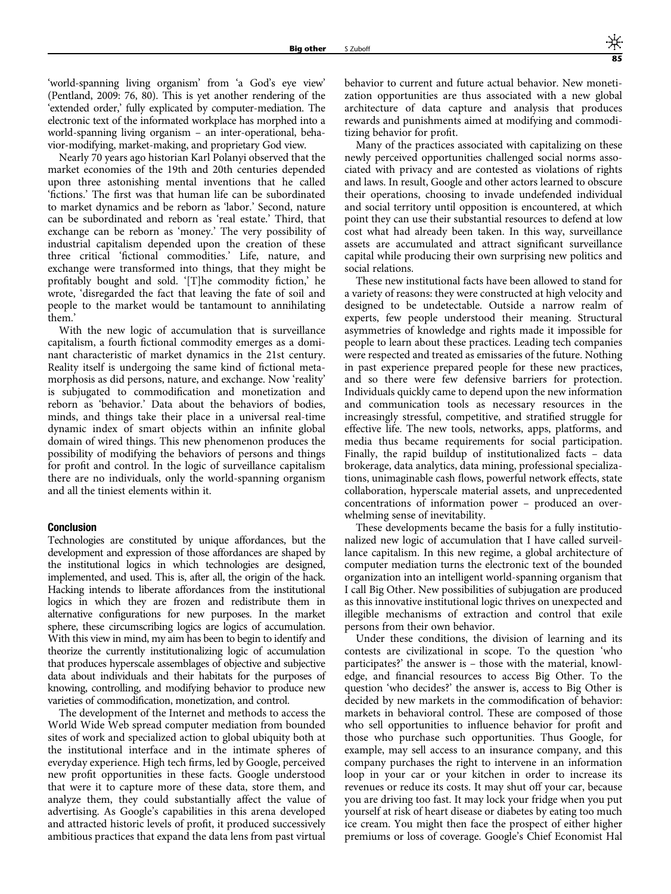'world-spanning living organism' from 'a God's eye view' ([Pentland, 2009:](#page-13-0) 76, 80). This is yet another rendering of the 'extended order,' fully explicated by computer-mediation. The electronic text of the informated workplace has morphed into a world-spanning living organism – an inter-operational, behavior-modifying, market-making, and proprietary God view.

Nearly 70 years ago historian Karl Polanyi observed that the market economies of the 19th and 20th centuries depended upon three astonishing mental inventions that he called 'fictions.' The first was that human life can be subordinated to market dynamics and be reborn as 'labor.' Second, nature can be subordinated and reborn as 'real estate.' Third, that exchange can be reborn as 'money.' The very possibility of industrial capitalism depended upon the creation of these three critical 'fictional commodities.' Life, nature, and exchange were transformed into things, that they might be profitably bought and sold. '[T]he commodity fiction,' he wrote, 'disregarded the fact that leaving the fate of soil and people to the market would be tantamount to annihilating them.'

With the new logic of accumulation that is surveillance capitalism, a fourth fictional commodity emerges as a dominant characteristic of market dynamics in the 21st century. Reality itself is undergoing the same kind of fictional metamorphosis as did persons, nature, and exchange. Now 'reality' is subjugated to commodification and monetization and reborn as 'behavior.' Data about the behaviors of bodies, minds, and things take their place in a universal real-time dynamic index of smart objects within an infinite global domain of wired things. This new phenomenon produces the possibility of modifying the behaviors of persons and things for profit and control. In the logic of surveillance capitalism there are no individuals, only the world-spanning organism and all the tiniest elements within it.

#### **Conclusion**

Technologies are constituted by unique affordances, but the development and expression of those affordances are shaped by the institutional logics in which technologies are designed, implemented, and used. This is, after all, the origin of the hack. Hacking intends to liberate affordances from the institutional logics in which they are frozen and redistribute them in alternative configurations for new purposes. In the market sphere, these circumscribing logics are logics of accumulation. With this view in mind, my aim has been to begin to identify and theorize the currently institutionalizing logic of accumulation that produces hyperscale assemblages of objective and subjective data about individuals and their habitats for the purposes of knowing, controlling, and modifying behavior to produce new varieties of commodification, monetization, and control.

The development of the Internet and methods to access the World Wide Web spread computer mediation from bounded sites of work and specialized action to global ubiquity both at the institutional interface and in the intimate spheres of everyday experience. High tech firms, led by Google, perceived new profit opportunities in these facts. Google understood that were it to capture more of these data, store them, and analyze them, they could substantially affect the value of advertising. As Google's capabilities in this arena developed and attracted historic levels of profit, it produced successively ambitious practices that expand the data lens from past virtual

behavior to current and future actual behavior. New monetization opportunities are thus associated with a new global architecture of data capture and analysis that produces rewards and punishments aimed at modifying and commoditizing behavior for profit.

Many of the practices associated with capitalizing on these newly perceived opportunities challenged social norms associated with privacy and are contested as violations of rights and laws. In result, Google and other actors learned to obscure their operations, choosing to invade undefended individual and social territory until opposition is encountered, at which point they can use their substantial resources to defend at low cost what had already been taken. In this way, surveillance assets are accumulated and attract significant surveillance capital while producing their own surprising new politics and social relations.

These new institutional facts have been allowed to stand for a variety of reasons: they were constructed at high velocity and designed to be undetectable. Outside a narrow realm of experts, few people understood their meaning. Structural asymmetries of knowledge and rights made it impossible for people to learn about these practices. Leading tech companies were respected and treated as emissaries of the future. Nothing in past experience prepared people for these new practices, and so there were few defensive barriers for protection. Individuals quickly came to depend upon the new information and communication tools as necessary resources in the increasingly stressful, competitive, and stratified struggle for effective life. The new tools, networks, apps, platforms, and media thus became requirements for social participation. Finally, the rapid buildup of institutionalized facts – data brokerage, data analytics, data mining, professional specializations, unimaginable cash flows, powerful network effects, state collaboration, hyperscale material assets, and unprecedented concentrations of information power – produced an overwhelming sense of inevitability.

These developments became the basis for a fully institutionalized new logic of accumulation that I have called surveillance capitalism. In this new regime, a global architecture of computer mediation turns the electronic text of the bounded organization into an intelligent world-spanning organism that I call Big Other. New possibilities of subjugation are produced as this innovative institutional logic thrives on unexpected and illegible mechanisms of extraction and control that exile persons from their own behavior.

Under these conditions, the division of learning and its contests are civilizational in scope. To the question 'who participates?' the answer is – those with the material, knowledge, and financial resources to access Big Other. To the question 'who decides?' the answer is, access to Big Other is decided by new markets in the commodification of behavior: markets in behavioral control. These are composed of those who sell opportunities to influence behavior for profit and those who purchase such opportunities. Thus Google, for example, may sell access to an insurance company, and this company purchases the right to intervene in an information loop in your car or your kitchen in order to increase its revenues or reduce its costs. It may shut off your car, because you are driving too fast. It may lock your fridge when you put yourself at risk of heart disease or diabetes by eating too much ice cream. You might then face the prospect of either higher premiums or loss of coverage. Google's Chief Economist Hal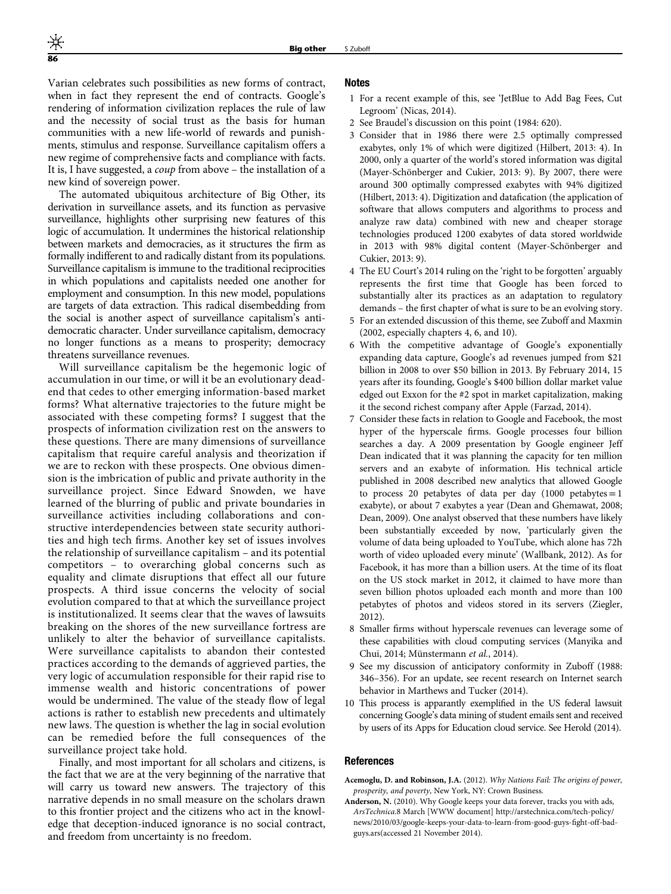<span id="page-11-0"></span>Varian celebrates such possibilities as new forms of contract, when in fact they represent the end of contracts. Google's rendering of information civilization replaces the rule of law and the necessity of social trust as the basis for human communities with a new life-world of rewards and punishments, stimulus and response. Surveillance capitalism offers a new regime of comprehensive facts and compliance with facts. It is, I have suggested, a coup from above – the installation of a new kind of sovereign power.

The automated ubiquitous architecture of Big Other, its derivation in surveillance assets, and its function as pervasive surveillance, highlights other surprising new features of this logic of accumulation. It undermines the historical relationship between markets and democracies, as it structures the firm as formally indifferent to and radically distant from its populations. Surveillance capitalism is immune to the traditional reciprocities in which populations and capitalists needed one another for employment and consumption. In this new model, populations are targets of data extraction. This radical disembedding from the social is another aspect of surveillance capitalism's antidemocratic character. Under surveillance capitalism, democracy no longer functions as a means to prosperity; democracy threatens surveillance revenues.

Will surveillance capitalism be the hegemonic logic of accumulation in our time, or will it be an evolutionary deadend that cedes to other emerging information-based market forms? What alternative trajectories to the future might be associated with these competing forms? I suggest that the prospects of information civilization rest on the answers to these questions. There are many dimensions of surveillance capitalism that require careful analysis and theorization if we are to reckon with these prospects. One obvious dimension is the imbrication of public and private authority in the surveillance project. Since Edward Snowden, we have learned of the blurring of public and private boundaries in surveillance activities including collaborations and constructive interdependencies between state security authorities and high tech firms. Another key set of issues involves the relationship of surveillance capitalism – and its potential competitors – to overarching global concerns such as equality and climate disruptions that effect all our future prospects. A third issue concerns the velocity of social evolution compared to that at which the surveillance project is institutionalized. It seems clear that the waves of lawsuits breaking on the shores of the new surveillance fortress are unlikely to alter the behavior of surveillance capitalists. Were surveillance capitalists to abandon their contested practices according to the demands of aggrieved parties, the very logic of accumulation responsible for their rapid rise to immense wealth and historic concentrations of power would be undermined. The value of the steady flow of legal actions is rather to establish new precedents and ultimately new laws. The question is whether the lag in social evolution can be remedied before the full consequences of the surveillance project take hold.

Finally, and most important for all scholars and citizens, is the fact that we are at the very beginning of the narrative that will carry us toward new answers. The trajectory of this narrative depends in no small measure on the scholars drawn to this frontier project and the citizens who act in the knowledge that deception-induced ignorance is no social contract, and freedom from uncertainty is no freedom.

#### **Notes**

- 1 For a recent example of this, see 'JetBlue to Add Bag Fees, Cut Legroom' ([Nicas, 2014](#page-13-0)).
- 2 See Braudel's discussion on this point (1984: 620).
- 3 Consider that in 1986 there were 2.5 optimally compressed exabytes, only 1% of which were digitized (Hilbert, 2013: 4). In 2000, only a quarter of the world's stored information was digital [\(Mayer-Schönberger and Cukier, 2013](#page-13-0): 9). By 2007, there were around 300 optimally compressed exabytes with 94% digitized [\(Hilbert, 2013:](#page-13-0) 4). Digitization and datafication (the application of software that allows computers and algorithms to process and analyze raw data) combined with new and cheaper storage technologies produced 1200 exabytes of data stored worldwide in 2013 with 98% digital content [\(Mayer-Schönberger and](#page-13-0) [Cukier, 2013:](#page-13-0) 9).
- 4 The EU Court's 2014 ruling on the 'right to be forgotten' arguably represents the first time that Google has been forced to substantially alter its practices as an adaptation to regulatory demands – the first chapter of what is sure to be an evolving story.
- 5 For an extended discussion of this theme, see [Zuboff and Maxmin](#page-14-0) [\(2002](#page-14-0), especially chapters 4, 6, and 10).
- 6 With the competitive advantage of Google's exponentially expanding data capture, Google's ad revenues jumped from \$21 billion in 2008 to over \$50 billion in 2013. By February 2014, 15 years after its founding, Google's \$400 billion dollar market value edged out Exxon for the #2 spot in market capitalization, making it the second richest company after Apple [\(Farzad, 2014\)](#page-12-0).
- 7 Consider these facts in relation to Google and Facebook, the most hyper of the hyperscale firms. Google processes four billion searches a day. A 2009 presentation by Google engineer Jeff Dean indicated that it was planning the capacity for ten million servers and an exabyte of information. His technical article published in 2008 described new analytics that allowed Google to process 20 petabytes of data per day  $(1000 \text{ petabytes} = 1$ exabyte), or about 7 exabytes a year ([Dean and Ghemawat, 2008;](#page-12-0) [Dean, 2009](#page-12-0)). One analyst observed that these numbers have likely been substantially exceeded by now, 'particularly given the volume of data being uploaded to YouTube, which alone has 72h worth of video uploaded every minute' ([Wallbank, 2012](#page-14-0)). As for Facebook, it has more than a billion users. At the time of its float on the US stock market in 2012, it claimed to have more than seven billion photos uploaded each month and more than 100 petabytes of photos and videos stored in its servers ([Ziegler,](#page-14-0) [2012](#page-14-0)).
- 8 Smaller firms without hyperscale revenues can leverage some of these capabilities with cloud computing services [\(Manyika and](#page-13-0) [Chui, 2014](#page-13-0); [Münstermann](#page-13-0) et al., 2014).
- 9 See my discussion of anticipatory conformity in [Zuboff \(1988:](#page-14-0) 346–356). For an update, see recent research on Internet search behavior in [Marthews and Tucker \(2014\).](#page-13-0)
- 10 This process is apparantly exemplified in the US federal lawsuit concerning Google's data mining of student emails sent and received by users of its Apps for Education cloud service. See [Herold \(2014\).](#page-12-0)

#### References

- Acemoglu, D. and Robinson, J.A. (2012). Why Nations Fail: The origins of power, prosperity, and poverty, New York, NY: Crown Business.
- Anderson, N. (2010). Why Google keeps your data forever, tracks you with ads, ArsTechnica.8 March [WWW document] [http://arstechnica.com/tech-policy/](http://arstechnica.com/tech-policy/news/2010/03/google-keeps-your-data-to-learn-from-good-guys-fight-off-bad-guys.ars) [news/2010/03/google-keeps-your-data-to-learn-from-good-guys-](http://arstechnica.com/tech-policy/news/2010/03/google-keeps-your-data-to-learn-from-good-guys-fight-off-bad-guys.ars)fight-off-bad[guys.ars\(](http://arstechnica.com/tech-policy/news/2010/03/google-keeps-your-data-to-learn-from-good-guys-fight-off-bad-guys.ars)accessed 21 November 2014).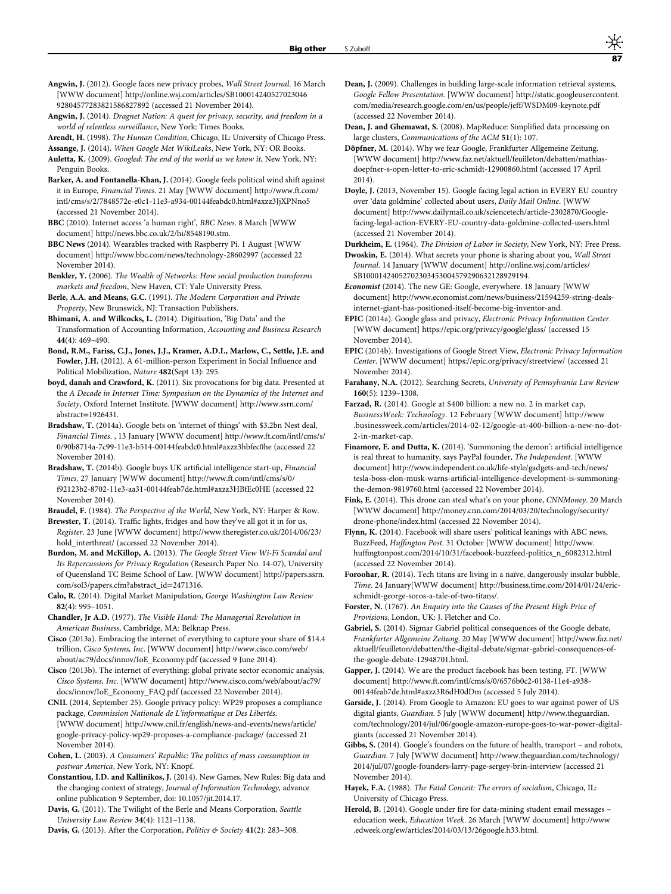<span id="page-12-0"></span>Angwin, J. (2012). Google faces new privacy probes, Wall Street Journal. 16 March [WWW document] [http://online.wsj.com/articles/SB100014240527023046](http://online.wsj.com/articles/SB10001424052702304692804577283821586827892) [92804577283821586827892](http://online.wsj.com/articles/SB10001424052702304692804577283821586827892) (accessed 21 November 2014).

Angwin, J. (2014). Dragnet Nation: A quest for privacy, security, and freedom in a world of relentless surveillance, New York: Times Books.

Arendt, H. (1998). The Human Condition, Chicago, IL: University of Chicago Press.

Assange, J. (2014). When Google Met WikiLeaks, New York, NY: OR Books.

Auletta, K. (2009). Googled: The end of the world as we know it, New York, NY: Penguin Books.

Barker, A. and Fontanella-Khan, J. (2014). Google feels political wind shift against it in Europe, Financial Times. 21 May [WWW document] [http://www.ft.com/](http://www.ft.com/intl/cms/s/2/7848572e-e0c1-11e3-a934-00144feabdc0.html#axzz3JjXPNno5) [intl/cms/s/2/7848572e-e0c1-11e3-a934-00144feabdc0.html#axzz3JjXPNno5](http://www.ft.com/intl/cms/s/2/7848572e-e0c1-11e3-a934-00144feabdc0.html#axzz3JjXPNno5) (accessed 21 November 2014).

BBC (2010). Internet access 'a human right', BBC News. 8 March [WWW document]<http://news.bbc.co.uk/2/hi/8548190.stm>.

BBC News (2014). Wearables tracked with Raspberry Pi. 1 August [WWW document]<http://www.bbc.com/news/technology-28602997> (accessed 22 November 2014).

Benkler, Y. (2006). The Wealth of Networks: How social production transforms markets and freedom, New Haven, CT: Yale University Press.

Berle, A.A. and Means, G.C. (1991). The Modern Corporation and Private Property, New Brunswick, NJ: Transaction Publishers.

Bhimani, A. and Willcocks, L. (2014). Digitisation, 'Big Data' and the Transformation of Accounting Information, Accounting and Business Research 44(4): 469–490.

Bond, R.M., Fariss, C.J., Jones, J.J., Kramer, A.D.I., Marlow, C., Settle, J.E. and Fowler, J.H. (2012). A 61-million-person Experiment in Social Influence and Political Mobilization, Nature 482(Sept 13): 295.

boyd, danah and Crawford, K. (2011). Six provocations for big data. Presented at the A Decade in Internet Time: Symposium on the Dynamics of the Internet and Society, Oxford Internet Institute. [WWW document] [http://www.ssrn.com/](http://www.ssrn.com/abstract=1926431) abstract=[1926431.](http://www.ssrn.com/abstract=1926431)

Bradshaw, T. (2014a). Google bets on 'internet of things' with \$3.2bn Nest deal, Financial Times. , 13 January [WWW document] [http://www.ft.com/intl/cms/s/](http://www.ft.com/intl/cms/s/0/90b8714a-7c99-11e3-b514-00144feabdc0.html#axzz3hbfec0he) [0/90b8714a-7c99-11e3-b514-00144feabdc0.html#axzz3hbfec0he](http://www.ft.com/intl/cms/s/0/90b8714a-7c99-11e3-b514-00144feabdc0.html#axzz3hbfec0he) (accessed 22 November 2014).

Bradshaw, T. (2014b). Google buys UK artificial intelligence start-up, Financial Times. 27 January [WWW document] [http://www.ft.com/intl/cms/s/0/](http://www.ft.com/intl/cms/s/0/f92123b2-8702-11e3-aa31-00144feab7de.html#axzz3HBfEc0HE) [f92123b2-8702-11e3-aa31-00144feab7de.html#axzz3HBfEc0HE](http://www.ft.com/intl/cms/s/0/f92123b2-8702-11e3-aa31-00144feab7de.html#axzz3HBfEc0HE) (accessed 22 November 2014).

Braudel, F. (1984). The Perspective of the World, New York, NY: Harper & Row.

Brewster, T. (2014). Traffic lights, fridges and how they've all got it in for us, Register. 23 June [WWW document] [http://www.theregister.co.uk/2014/06/23/](http://www.theregister.co.uk/2014/06/23/hold_interthreat/) [hold\\_interthreat/](http://www.theregister.co.uk/2014/06/23/hold_interthreat/) (accessed 22 November 2014).

Burdon, M. and McKillop, A. (2013). The Google Street View Wi-Fi Scandal and Its Repercussions for Privacy Regulation (Research Paper No. 14-07), University of Queensland TC Beime School of Law. [WWW document] [http://papers.ssrn.](http://papers.ssrn.com/sol3/papers.cfm?abstract_id=2471316) [com/sol3/papers.cfm?abstract\\_id](http://papers.ssrn.com/sol3/papers.cfm?abstract_id=2471316)=2471316.

Calo, R. (2014). Digital Market Manipulation, George Washington Law Review 82(4): 995–1051.

Chandler, Jr A.D. (1977). The Visible Hand: The Managerial Revolution in American Business, Cambridge, MA: Belknap Press.

Cisco (2013a). Embracing the internet of everything to capture your share of \$14.4 trillion, Cisco Systems, Inc. [WWW document] [http://www.cisco.com/web/](http://www.cisco.com/web/about/ac79/docs/innov/IoE_Economy.pdf) [about/ac79/docs/innov/IoE\\_Economy.pdf](http://www.cisco.com/web/about/ac79/docs/innov/IoE_Economy.pdf) (accessed 9 June 2014).

Cisco (2013b). The internet of everything: global private sector economic analysis, Cisco Systems, Inc. [WWW document] [http://www.cisco.com/web/about/ac79/](http://www.cisco.com/web/about/ac79/docs/innov/IoE_Economy_FAQ.pdf) [docs/innov/IoE\\_Economy\\_FAQ.pdf](http://www.cisco.com/web/about/ac79/docs/innov/IoE_Economy_FAQ.pdf) (accessed 22 November 2014).

CNIL (2014, September 25). Google privacy policy: WP29 proposes a compliance package, Commission Nationale de L'informatique et Des Libertés. [WWW document] [http://www.cnil.fr/english/news-and-events/news/article/](http://www.cnil.fr/english/news-and-events/news/article/google-privacy-policy-wp29-proposes-a-compliance-package/) [google-privacy-policy-wp29-proposes-a-compliance-package/](http://www.cnil.fr/english/news-and-events/news/article/google-privacy-policy-wp29-proposes-a-compliance-package/) (accessed 21 November 2014).

Cohen, L. (2003). A Consumers' Republic: The politics of mass consumption in postwar America, New York, NY: Knopf.

Constantiou, I.D. and Kallinikos, J. (2014). New Games, New Rules: Big data and the changing context of strategy, Journal of Information Technology, advance online publication 9 September, doi: 10.1057/jit.2014.17.

Davis, G. (2011). The Twilight of the Berle and Means Corporation, Seattle University Law Review 34(4): 1121–1138.

Davis, G. (2013). After the Corporation, Politics & Society 41(2): 283-308.

Dean, J. (2009). Challenges in building large-scale information retrieval systems, Google Fellow Presentation. [WWW document] [http://static.googleusercontent.](http://static.googleusercontent.com/media/research.google.com/en/us/people/jeff/WSDM09-keynote.pdf) [com/media/research.google.com/en/us/people/jeff/WSDM09-keynote.pdf](http://static.googleusercontent.com/media/research.google.com/en/us/people/jeff/WSDM09-keynote.pdf) (accessed 22 November 2014).

Dean, J. and Ghemawat, S. (2008). MapReduce: Simplified data processing on large clusters, Communications of the ACM 51(1): 107.

Döpfner, M. (2014). Why we fear Google, Frankfurter Allgemeine Zeitung. [WWW document] [http://www.faz.net/aktuell/feuilleton/debatten/mathias](http://www.faz.net/aktuell/feuilleton/debatten/mathias-doepfner-s-open-letter-to-eric-schmidt-12900860.html)[doepfner-s-open-letter-to-eric-schmidt-12900860.html](http://www.faz.net/aktuell/feuilleton/debatten/mathias-doepfner-s-open-letter-to-eric-schmidt-12900860.html) (accessed 17 April 2014).

Doyle, J. (2013, November 15). Google facing legal action in EVERY EU country over 'data goldmine' collected about users, Daily Mail Online. [WWW document] [http://www.dailymail.co.uk/sciencetech/article-2302870/Google](http://www.dailymail.co.uk/sciencetech/article-2302870/Google-facing-legal-action-EVERY-EU-country-data-goldmine-collected-users.html)[facing-legal-action-EVERY-EU-country-data-goldmine-collected-users.html](http://www.dailymail.co.uk/sciencetech/article-2302870/Google-facing-legal-action-EVERY-EU-country-data-goldmine-collected-users.html) (accessed 21 November 2014).

Durkheim, E. (1964). The Division of Labor in Society, New York, NY: Free Press.

Dwoskin, E. (2014). What secrets your phone is sharing about you, Wall Street Journal. 14 January [WWW document] [http://online.wsj.com/articles/](http://online.wsj.com/articles/SB10001424052702303453004579290632128929194) [SB10001424052702303453004579290632128929194.](http://online.wsj.com/articles/SB10001424052702303453004579290632128929194)

Economist (2014). The new GE: Google, everywhere. 18 January [WWW document] [http://www.economist.com/news/business/21594259-string-deals](http://www.economist.com/news/business/21594259-string-deals-internet-giant-has-positioned-itself-become-big-inventor-and)[internet-giant-has-positioned-itself-become-big-inventor-and.](http://www.economist.com/news/business/21594259-string-deals-internet-giant-has-positioned-itself-become-big-inventor-and)

EPIC (2014a). Google glass and privacy, Electronic Privacy Information Center. [WWW document]<https://epic.org/privacy/google/glass/> (accessed 15 November 2014).

EPIC (2014b). Investigations of Google Street View, Electronic Privacy Information Center. [WWW document]<https://epic.org/privacy/streetview/> (accessed 21 November 2014).

Farahany, N.A. (2012). Searching Secrets, University of Pennsylvania Law Review 160(5): 1239–1308.

Farzad, R. (2014). Google at \$400 billion: a new no. 2 in market cap, BusinessWeek: Technology. 12 February [WWW document] [http://www](http://www.businessweek.com/articles/2014-02-12/google-at-400-billion-a-new-no-dot-2-in-market-cap) [.businessweek.com/articles/2014-02-12/google-at-400-billion-a-new-no-dot-](http://www.businessweek.com/articles/2014-02-12/google-at-400-billion-a-new-no-dot-2-in-market-cap)[2-in-market-cap](http://www.businessweek.com/articles/2014-02-12/google-at-400-billion-a-new-no-dot-2-in-market-cap).

Finamore, E. and Dutta, K. (2014). 'Summoning the demon': artificial intelligence is real threat to humanity, says PayPal founder, The Independent. [WWW document] [http://www.independent.co.uk/life-style/gadgets-and-tech/news/](http://www.independent.co.uk/life-style/gadgets-and-tech/news/tesla-boss-elon-musk-warns-artificial-intelligence-development-is-summoning-the-demon-9819760.html) tesla-boss-elon-musk-warns-artifi[cial-intelligence-development-is-summoning](http://www.independent.co.uk/life-style/gadgets-and-tech/news/tesla-boss-elon-musk-warns-artificial-intelligence-development-is-summoning-the-demon-9819760.html)[the-demon-9819760.html](http://www.independent.co.uk/life-style/gadgets-and-tech/news/tesla-boss-elon-musk-warns-artificial-intelligence-development-is-summoning-the-demon-9819760.html) (accessed 22 November 2014).

Fink, E. (2014). This drone can steal what's on your phone, CNNMoney. 20 March [WWW document] [http://money.cnn.com/2014/03/20/technology/security/](http://money.cnn.com/2014/03/20/technology/security/drone-phone/index.html) [drone-phone/index.html](http://money.cnn.com/2014/03/20/technology/security/drone-phone/index.html) (accessed 22 November 2014).

Flynn, K. (2014). Facebook will share users' political leanings with ABC news, BuzzFeed, Huffington Post. 31 October [WWW document] [http://www.](http://www.huffingtonpost.com/2014/10/31/facebook-buzzfeed-politics_n_6082312.html) huffi[ngtonpost.com/2014/10/31/facebook-buzzfeed-politics\\_n\\_6082312.html](http://www.huffingtonpost.com/2014/10/31/facebook-buzzfeed-politics_n_6082312.html) (accessed 22 November 2014).

Foroohar, R. (2014). Tech titans are living in a naïve, dangerously insular bubble, Time. 24 January[WWW document] [http://business.time.com/2014/01/24/eric](http://business.time.com/2014/01/24/eric-schmidt-george-soros-a-tale-of-two-titans/)[schmidt-george-soros-a-tale-of-two-titans/](http://business.time.com/2014/01/24/eric-schmidt-george-soros-a-tale-of-two-titans/).

Forster, N. (1767). An Enquiry into the Causes of the Present High Price of Provisions, London, UK: J. Fletcher and Co.

Gabriel, S. (2014). Sigmar Gabriel political consequences of the Google debate, Frankfurter Allgemeine Zeitung. 20 May [WWW document] [http://www.faz.net/](http://www.faz.net/aktuell/feuilleton/debatten/the-digital-debate/sigmar-gabriel-consequences-of-the-google-debate-12948701.html) [aktuell/feuilleton/debatten/the-digital-debate/sigmar-gabriel-consequences-of](http://www.faz.net/aktuell/feuilleton/debatten/the-digital-debate/sigmar-gabriel-consequences-of-the-google-debate-12948701.html)[the-google-debate-12948701.html](http://www.faz.net/aktuell/feuilleton/debatten/the-digital-debate/sigmar-gabriel-consequences-of-the-google-debate-12948701.html).

Gapper, J. (2014). We are the product facebook has been testing, FT. [WWW document] [http://www.ft.com/intl/cms/s/0/6576b0c2-0138-11e4-a938-](http://www.ft.com/intl/cms/s/0/6576b0c2-0138-11e4-a938-00144feab7de.html#axzz3R6dH0dDm) [00144feab7de.html#axzz3R6dH0dDm](http://www.ft.com/intl/cms/s/0/6576b0c2-0138-11e4-a938-00144feab7de.html#axzz3R6dH0dDm) (accessed 5 July 2014).

Garside, J. (2014). From Google to Amazon: EU goes to war against power of US digital giants, Guardian. 5 July [WWW document] [http://www.theguardian.](http://www.theguardian.com/technology/2014/jul/06/google-amazon-europe-goes-to-war-power-digital-giants) [com/technology/2014/jul/06/google-amazon-europe-goes-to-war-power-digital](http://www.theguardian.com/technology/2014/jul/06/google-amazon-europe-goes-to-war-power-digital-giants)[giants](http://www.theguardian.com/technology/2014/jul/06/google-amazon-europe-goes-to-war-power-digital-giants) (accessed 21 November 2014).

Gibbs, S. (2014). Google's founders on the future of health, transport – and robots, Guardian. 7 July [WWW document] [http://www.theguardian.com/technology/](http://www.theguardian.com/technology/2014/jul/07/google-founders-larry-page-sergey-brin-interview) [2014/jul/07/google-founders-larry-page-sergey-brin-interview](http://www.theguardian.com/technology/2014/jul/07/google-founders-larry-page-sergey-brin-interview) (accessed 21 November 2014).

Hayek, F.A. (1988). The Fatal Conceit: The errors of socialism, Chicago, IL: University of Chicago Press.

Herold, B. (2014). Google under fire for data-mining student email messages – education week, Education Week. 26 March [WWW document] [http://www](http://www.edweek.org/ew/articles/2014/03/13/26google.h33.html) [.edweek.org/ew/articles/2014/03/13/26google.h33.html.](http://www.edweek.org/ew/articles/2014/03/13/26google.h33.html)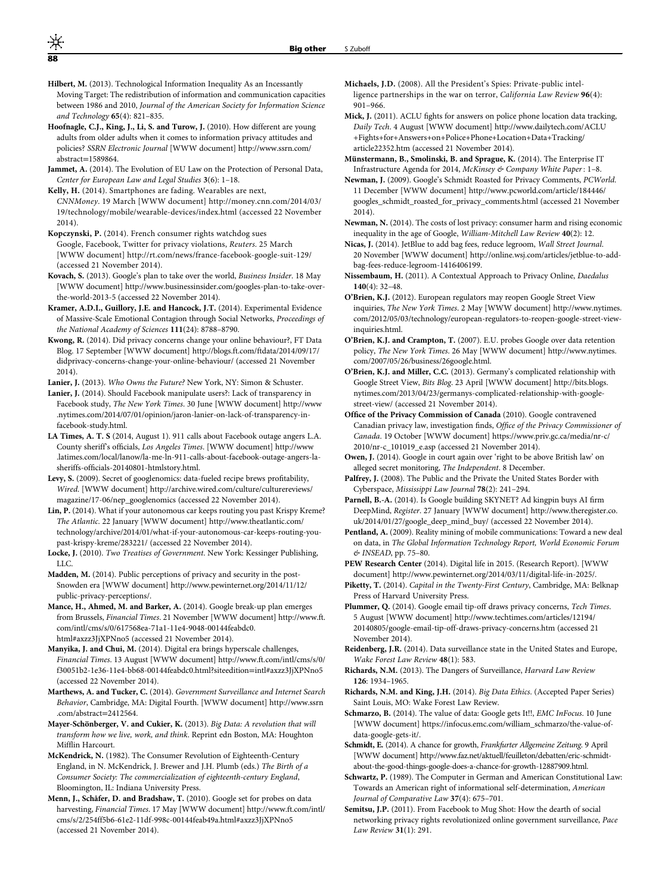- Hoofnagle, C.J., King, J., Li, S. and Turow, J. (2010). How different are young adults from older adults when it comes to information privacy attitudes and policies? SSRN Electronic Journal [WWW document] [http://www.ssrn.com/](http://www.ssrn.com/abstract=1589864) abstract=[1589864.](http://www.ssrn.com/abstract=1589864)
- Jammet, A. (2014). The Evolution of EU Law on the Protection of Personal Data, Center for European Law and Legal Studies 3(6): 1–18.
- Kelly, H. (2014). Smartphones are fading. Wearables are next, CNNMoney. 19 March [WWW document] [http://money.cnn.com/2014/03/](http://money.cnn.com/2014/03/19/technology/mobile/wearable-devices/index.html) [19/technology/mobile/wearable-devices/index.html](http://money.cnn.com/2014/03/19/technology/mobile/wearable-devices/index.html) (accessed 22 November 2014).
- Kopczynski, P. (2014). French consumer rights watchdog sues Google, Facebook, Twitter for privacy violations, Reuters. 25 March [WWW document]<http://rt.com/news/france-facebook-google-suit-129/> (accessed 21 November 2014).
- Kovach, S. (2013). Google's plan to take over the world, Business Insider. 18 May [WWW document] [http://www.businessinsider.com/googles-plan-to-take-over](http://www.businessinsider.com/googles-plan-to-take-over-the-world-2013-5)[the-world-2013-5](http://www.businessinsider.com/googles-plan-to-take-over-the-world-2013-5) (accessed 22 November 2014).
- Kramer, A.D.I., Guillory, J.E. and Hancock, J.T. (2014). Experimental Evidence of Massive-Scale Emotional Contagion through Social Networks, Proceedings of the National Academy of Sciences 111(24): 8788–8790.
- Kwong, R. (2014). Did privacy concerns change your online behaviour?, FT Data Blog. 17 September [WWW document] [http://blogs.ft.com/ftdata/2014/09/17/](http://blogs.ft.com/ftdata/2014/09/17/didprivacy-concerns-change-your-online-behaviour/) [didprivacy-concerns-change-your-online-behaviour/](http://blogs.ft.com/ftdata/2014/09/17/didprivacy-concerns-change-your-online-behaviour/) (accessed 21 November 2014).

Lanier, J. (2013). Who Owns the Future? New York, NY: Simon & Schuster.

- Lanier, J. (2014). Should Facebook manipulate users?: Lack of transparency in Facebook study, The New York Times. 30 June [WWW document] [http://www](http://www.nytimes.com/2014/07/01/opinion/jaron-lanier-on-lack-of-transparency-in-facebook-study.html) [.nytimes.com/2014/07/01/opinion/jaron-lanier-on-lack-of-transparency-in](http://www.nytimes.com/2014/07/01/opinion/jaron-lanier-on-lack-of-transparency-in-facebook-study.html)[facebook-study.html.](http://www.nytimes.com/2014/07/01/opinion/jaron-lanier-on-lack-of-transparency-in-facebook-study.html)
- LA Times, A. T. S (2014, August 1). 911 calls about Facebook outage angers L.A. County sheriff's officials, Los Angeles Times. [WWW document] [http://www](http://www.latimes.com/local/lanow/la-me-ln-911-calls-about-facebook-outage-angers-la-sheriffs-officials-20140801-htmlstory.html) [.latimes.com/local/lanow/la-me-ln-911-calls-about-facebook-outage-angers-la](http://www.latimes.com/local/lanow/la-me-ln-911-calls-about-facebook-outage-angers-la-sheriffs-officials-20140801-htmlstory.html)sheriffs-offi[cials-20140801-htmlstory.html](http://www.latimes.com/local/lanow/la-me-ln-911-calls-about-facebook-outage-angers-la-sheriffs-officials-20140801-htmlstory.html).
- Levy, S. (2009). Secret of googlenomics: data-fueled recipe brews profitability, Wired. [WWW document] [http://archive.wired.com/culture/culturereviews/](http://archive.wired.com/culture/culturereviews/magazine/17-06/nep_googlenomics) [magazine/17-06/nep\\_googlenomics](http://archive.wired.com/culture/culturereviews/magazine/17-06/nep_googlenomics) (accessed 22 November 2014).
- Lin, P. (2014). What if your autonomous car keeps routing you past Krispy Kreme? The Atlantic. 22 January [WWW document] [http://www.theatlantic.com/](http://www.theatlantic.com/technology/archive/2014/01/what-if-your-autonomous-car-keeps-routing-you-past-krispy-kreme/283221/) [technology/archive/2014/01/what-if-your-autonomous-car-keeps-routing-you](http://www.theatlantic.com/technology/archive/2014/01/what-if-your-autonomous-car-keeps-routing-you-past-krispy-kreme/283221/)[past-krispy-kreme/283221/](http://www.theatlantic.com/technology/archive/2014/01/what-if-your-autonomous-car-keeps-routing-you-past-krispy-kreme/283221/) (accessed 22 November 2014).
- Locke, J. (2010). Two Treatises of Government. New York: Kessinger Publishing, LLC.
- Madden, M. (2014). Public perceptions of privacy and security in the post-Snowden era [WWW document] [http://www.pewinternet.org/2014/11/12/](http://www.pewinternet.org/2014/11/12/public-privacy-perceptions/) [public-privacy-perceptions/.](http://www.pewinternet.org/2014/11/12/public-privacy-perceptions/)
- Mance, H., Ahmed, M. and Barker, A. (2014). Google break-up plan emerges from Brussels, Financial Times. 21 November [WWW document] [http://www.ft.](http://www.ft.com/intl/cms/s/0/617568ea-71a1-11e4-9048-00144feabdc0.html#axzz3JjXPNno5) [com/intl/cms/s/0/617568ea-71a1-11e4-9048-00144feabdc0.](http://www.ft.com/intl/cms/s/0/617568ea-71a1-11e4-9048-00144feabdc0.html#axzz3JjXPNno5) html#axzz3JiXPNno5 (accessed 21 November 2014).
- Manyika, J. and Chui, M. (2014). Digital era brings hyperscale challenges, Financial Times. 13 August [WWW document] [http://www.ft.com/intl/cms/s/0/](http://www.ft.com/intl/cms/s/0/f30051b2-1e36-11e4-bb68-00144feabdc0.html?siteedition=intl#axzz3JjXPNno5) [f30051b2-1e36-11e4-bb68-00144feabdc0.html?siteedition](http://www.ft.com/intl/cms/s/0/f30051b2-1e36-11e4-bb68-00144feabdc0.html?siteedition=intl#axzz3JjXPNno5)=intl#axzz3JjXPNno5 (accessed 22 November 2014).
- Marthews, A. and Tucker, C. (2014). Government Surveillance and Internet Search Behavior, Cambridge, MA: Digital Fourth. [WWW document] [http://www.ssrn](http://www.ssrn.com/abstract=2412564) [.com/abstract](http://www.ssrn.com/abstract=2412564)=2412564.
- Mayer-Schönberger, V. and Cukier, K. (2013). Big Data: A revolution that will transform how we live, work, and think. Reprint edn Boston, MA: Houghton Mifflin Harcourt.
- McKendrick, N. (1982). The Consumer Revolution of Eighteenth-Century England, in N. McKendrick, J. Brewer and J.H. Plumb (eds.) The Birth of a Consumer Society: The commercialization of eighteenth-century England, Bloomington, IL: Indiana University Press.
- Menn, J., Schåfer, D. and Bradshaw, T. (2010). Google set for probes on data harvesting, Financial Times. 17 May [WWW document] [http://www.ft.com/intl/](http://www.ft.com/intl/cms/s/2/254ff5b6-61e2-11df-998c-00144feab49a.html#axzz3JjXPNno5) [cms/s/2/254ff5b6-61e2-11df-998c-00144feab49a.html#axzz3JjXPNno5](http://www.ft.com/intl/cms/s/2/254ff5b6-61e2-11df-998c-00144feab49a.html#axzz3JjXPNno5) (accessed 21 November 2014).
- Michaels, J.D. (2008). All the President's Spies: Private-public intelligence partnerships in the war on terror, California Law Review 96(4): 901–966.
- Mick, J. (2011). ACLU fights for answers on police phone location data tracking, Daily Tech. 4 August [WWW document] [http://www.dailytech.com/ACLU](http://www.dailytech.com/ACLU+Fights+for+Answers+on+Police+Phone+Location+Data+Tracking/article22352.htm) [+Fights+for+Answers+on+Police+Phone+Location+Data+Tracking/](http://www.dailytech.com/ACLU+Fights+for+Answers+on+Police+Phone+Location+Data+Tracking/article22352.htm) [article22352.htm](http://www.dailytech.com/ACLU+Fights+for+Answers+on+Police+Phone+Location+Data+Tracking/article22352.htm) (accessed 21 November 2014).
- Münstermann, B., Smolinski, B. and Sprague, K. (2014). The Enterprise IT Infrastructure Agenda for 2014, McKinsey & Company White Paper: 1–8.
- Newman, J. (2009). Google's Schmidt Roasted for Privacy Comments, PCWorld. 11 December [WWW document] [http://www.pcworld.com/article/184446/](http://www.pcworld.com/article/184446/googles_schmidt_roasted_for_privacy_comments.html) [googles\\_schmidt\\_roasted\\_for\\_privacy\\_comments.html](http://www.pcworld.com/article/184446/googles_schmidt_roasted_for_privacy_comments.html) (accessed 21 November 2014).
- Newman, N. (2014). The costs of lost privacy: consumer harm and rising economic inequality in the age of Google, William-Mitchell Law Review 40(2): 12.
- Nicas, J. (2014). JetBlue to add bag fees, reduce legroom, Wall Street Journal. 20 November [WWW document] [http://online.wsj.com/articles/jetblue-to-add](http://online.wsj.com/articles/jetblue-to-add-bag-fees-reduce-legroom-1416406199)[bag-fees-reduce-legroom-1416406199.](http://online.wsj.com/articles/jetblue-to-add-bag-fees-reduce-legroom-1416406199)
- Nissembaum, H. (2011). A Contextual Approach to Privacy Online, Daedalus 140(4): 32–48.
- O'Brien, K.J. (2012). European regulators may reopen Google Street View inquiries, The New York Times. 2 May [WWW document] [http://www.nytimes.](http://www.nytimes.com/2012/05/03/technology/european-regulators-to-reopen-google-street-view-inquiries.html) [com/2012/05/03/technology/european-regulators-to-reopen-google-street-view](http://www.nytimes.com/2012/05/03/technology/european-regulators-to-reopen-google-street-view-inquiries.html)[inquiries.html.](http://www.nytimes.com/2012/05/03/technology/european-regulators-to-reopen-google-street-view-inquiries.html)
- O'Brien, K.J. and Crampton, T. (2007). E.U. probes Google over data retention policy, The New York Times. 26 May [WWW document] [http://www.nytimes.](http://www.nytimes.com/2007/05/26/business/26google.html) [com/2007/05/26/business/26google.html.](http://www.nytimes.com/2007/05/26/business/26google.html)
- O'Brien, K.J. and Miller, C.C. (2013). Germany's complicated relationship with Google Street View, Bits Blog. 23 April [WWW document] [http://bits.blogs.](http://bits.blogs.nytimes.com/2013/04/23/germanys-complicated-relationship-with-google-street-view/) [nytimes.com/2013/04/23/germanys-complicated-relationship-with-google](http://bits.blogs.nytimes.com/2013/04/23/germanys-complicated-relationship-with-google-street-view/)[street-view/](http://bits.blogs.nytimes.com/2013/04/23/germanys-complicated-relationship-with-google-street-view/) (accessed 21 November 2014).
- Office of the Privacy Commission of Canada (2010). Google contravened Canadian privacy law, investigation finds, Office of the Privacy Commissioner of Canada. 19 October [WWW document] [https://www.priv.gc.ca/media/nr-c/](https://www.priv.gc.ca/media/nr-c/2010/nr-c_101019_e.asp) [2010/nr-c\\_101019\\_e.asp](https://www.priv.gc.ca/media/nr-c/2010/nr-c_101019_e.asp) (accessed 21 November 2014).
- Owen, J. (2014). Google in court again over 'right to be above British law' on alleged secret monitoring, The Independent. 8 December.
- Palfrey, J. (2008). The Public and the Private the United States Border with Cyberspace, Mississippi Law Journal 78(2): 241–294.
- Parnell, B.-A. (2014). Is Google building SKYNET? Ad kingpin buys AI firm DeepMind, Register. 27 January [WWW document] [http://www.theregister.co.](http://www.theregister.co.uk/2014/01/27/google_deep_mind_buy/) [uk/2014/01/27/google\\_deep\\_mind\\_buy/](http://www.theregister.co.uk/2014/01/27/google_deep_mind_buy/) (accessed 22 November 2014).
- Pentland, A. (2009). Reality mining of mobile communications: Toward a new deal on data, in The Global Information Technology Report, World Economic Forum & INSEAD, pp. 75–80.
- PEW Research Center (2014). Digital life in 2015. (Research Report). [WWW document]<http://www.pewinternet.org/2014/03/11/digital-life-in-2025/>.
- Piketty, T. (2014). Capital in the Twenty-First Century, Cambridge, MA: Belknap Press of Harvard University Press.
- Plummer, Q. (2014). Google email tip-off draws privacy concerns, Tech Times. 5 August [WWW document] [http://www.techtimes.com/articles/12194/](http://www.techtimes.com/articles/12194/20140805/google-email-tip-off-draws-privacy-concerns.htm) [20140805/google-email-tip-off-draws-privacy-concerns.htm](http://www.techtimes.com/articles/12194/20140805/google-email-tip-off-draws-privacy-concerns.htm) (accessed 21 November 2014).
- Reidenberg, J.R. (2014). Data surveillance state in the United States and Europe, Wake Forest Law Review 48(1): 583.
- Richards, N.M. (2013). The Dangers of Surveillance, Harvard Law Review 126: 1934–1965.
- Richards, N.M. and King, J.H. (2014). Big Data Ethics. (Accepted Paper Series) Saint Louis, MO: Wake Forest Law Review.
- Schmarzo, B. (2014). The value of data: Google gets It!!, EMC InFocus. 10 June [WWW document] [https://infocus.emc.com/william\\_schmarzo/the-value-of](https://infocus.emc.com/william_schmarzo/the-value-of-data-google-gets-it/)[data-google-gets-it/.](https://infocus.emc.com/william_schmarzo/the-value-of-data-google-gets-it/)
- Schmidt, E. (2014). A chance for growth, Frankfurter Allgemeine Zeitung. 9 April [WWW document] [http://www.faz.net/aktuell/feuilleton/debatten/eric-schmidt](http://www.faz.net/aktuell/feuilleton/debatten/eric-schmidt-about-the-good-things-google-does-a-chance-for-growth-12887909.html)[about-the-good-things-google-does-a-chance-for-growth-12887909.html.](http://www.faz.net/aktuell/feuilleton/debatten/eric-schmidt-about-the-good-things-google-does-a-chance-for-growth-12887909.html)
- Schwartz, P. (1989). The Computer in German and American Constitutional Law: Towards an American right of informational self-determination, American Journal of Comparative Law 37(4): 675–701.
- Semitsu, J.P. (2011). From Facebook to Mug Shot: How the dearth of social networking privacy rights revolutionized online government surveillance, Pace Law Review 31(1): 291.

<span id="page-13-0"></span>